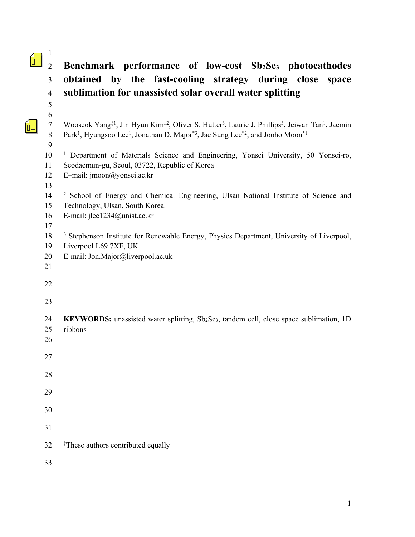# 2 **Benchmark performance of low-cost Sb2Se3 photocathodes**  3 **obtained by the fast-cooling strategy during close space**  4 **sublimation for unassisted solar overall water splitting**

| 6                |                                                                                                                                                              |
|------------------|--------------------------------------------------------------------------------------------------------------------------------------------------------------|
| $\boldsymbol{7}$ | Wooseok Yang <sup>‡1</sup> , Jin Hyun Kim <sup>‡2</sup> , Oliver S. Hutter <sup>3</sup> , Laurie J. Phillips <sup>3</sup> , Jeiwan Tan <sup>1</sup> , Jaemin |
| $8\,$            | Park <sup>1</sup> , Hyungsoo Lee <sup>1</sup> , Jonathan D. Major <sup>*3</sup> , Jae Sung Lee <sup>*2</sup> , and Jooho Moon <sup>*1</sup>                  |
| 9                |                                                                                                                                                              |
| 10               | <sup>1</sup> Department of Materials Science and Engineering, Yonsei University, 50 Yonsei-ro,                                                               |
| 11               | Seodaemun-gu, Seoul, 03722, Republic of Korea                                                                                                                |
| 12               | E-mail: jmoon@yonsei.ac.kr                                                                                                                                   |
| 13               |                                                                                                                                                              |
| 14               | <sup>2</sup> School of Energy and Chemical Engineering, Ulsan National Institute of Science and                                                              |
| 15               | Technology, Ulsan, South Korea.                                                                                                                              |
| 16               | E-mail: jlee1234@unist.ac.kr                                                                                                                                 |
| 17               |                                                                                                                                                              |
| 18               | <sup>3</sup> Stephenson Institute for Renewable Energy, Physics Department, University of Liverpool,                                                         |
| 19               | Liverpool L69 7XF, UK                                                                                                                                        |
| 20               | E-mail: Jon.Major@liverpool.ac.uk                                                                                                                            |
| 21               |                                                                                                                                                              |
| 22               |                                                                                                                                                              |
|                  |                                                                                                                                                              |
| 23               |                                                                                                                                                              |
| 24               | KEYWORDS: unassisted water splitting, Sb2Se3, tandem cell, close space sublimation, 1D                                                                       |
| 25               | ribbons                                                                                                                                                      |
| 26               |                                                                                                                                                              |
|                  |                                                                                                                                                              |
| 27               |                                                                                                                                                              |
|                  |                                                                                                                                                              |
| 28               |                                                                                                                                                              |
| 29               |                                                                                                                                                              |
|                  |                                                                                                                                                              |
| 30               |                                                                                                                                                              |
|                  |                                                                                                                                                              |
| 31               |                                                                                                                                                              |
| 32               | <sup>‡</sup> These authors contributed equally                                                                                                               |
|                  |                                                                                                                                                              |
| 33               |                                                                                                                                                              |

1

5

 $\frac{4}{\overline{D}}$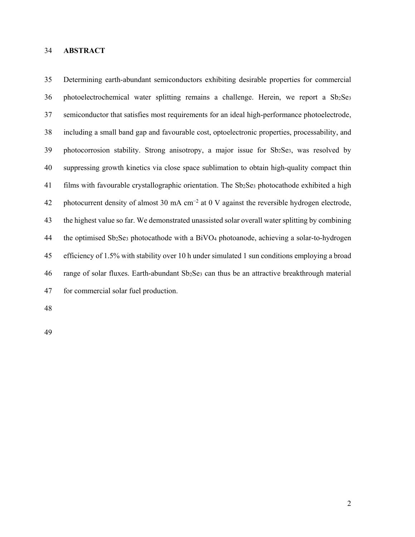#### 34 **ABSTRACT**

35 Determining earth-abundant semiconductors exhibiting desirable properties for commercial 36 photoelectrochemical water splitting remains a challenge. Herein, we report a Sb<sub>2</sub>Se<sub>3</sub> 37 semiconductor that satisfies most requirements for an ideal high-performance photoelectrode, 38 including a small band gap and favourable cost, optoelectronic properties, processability, and 39 photocorrosion stability. Strong anisotropy, a major issue for Sb2Se3, was resolved by 40 suppressing growth kinetics via close space sublimation to obtain high-quality compact thin 41 films with favourable crystallographic orientation. The  $Sb_2Se_3$  photocathode exhibited a high 42 photocurrent density of almost 30 mA cm<sup>-2</sup> at 0 V against the reversible hydrogen electrode, 43 the highest value so far. We demonstrated unassisted solar overall water splitting by combining 44 the optimised Sb2Se3 photocathode with a BiVO4 photoanode, achieving a solar-to-hydrogen 45 efficiency of 1.5% with stability over 10 h under simulated 1 sun conditions employing a broad 46 range of solar fluxes. Earth-abundant  $Sb_2Se_3$  can thus be an attractive breakthrough material 47 for commercial solar fuel production.

48

49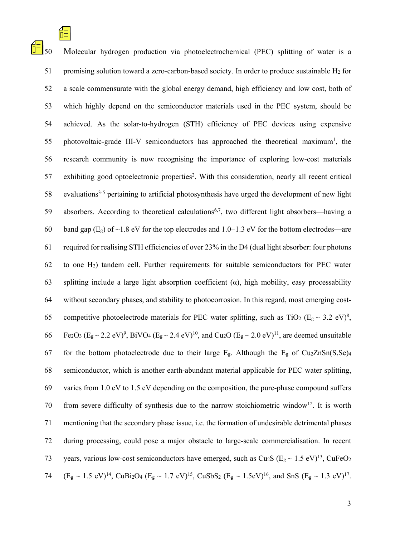$\boxed{\frac{1}{10}}$  50 Molecular hydrogen production via photoelectrochemical (PEC) splitting of water is a 51 promising solution toward a zero-carbon-based society. In order to produce sustainable  $H_2$  for 52 a scale commensurate with the global energy demand, high efficiency and low cost, both of 53 which highly depend on the semiconductor materials used in the PEC system, should be 54 achieved. As the solar-to-hydrogen (STH) efficiency of PEC devices using expensive 55 photovoltaic-grade III-V semiconductors has approached the theoretical maximum<sup>1</sup>, the 56 research community is now recognising the importance of exploring low-cost materials 57 exhibiting good optoelectronic properties<sup>2</sup>. With this consideration, nearly all recent critical  $58$  evaluations<sup>3-5</sup> pertaining to artificial photosynthesis have urged the development of new light 59 absorbers. According to theoretical calculations<sup>6,7</sup>, two different light absorbers—having a 60 band gap (Eg) of ~1.8 eV for the top electrodes and 1.0−1.3 eV for the bottom electrodes—are 61 required for realising STH efficiencies of over 23% in the D4 (dual light absorber: four photons 62 to one H2) tandem cell. Further requirements for suitable semiconductors for PEC water 63 splitting include a large light absorption coefficient (α), high mobility, easy processability 64 without secondary phases, and stability to photocorrosion. In this regard, most emerging cost-65 competitive photoelectrode materials for PEC water splitting, such as TiO<sub>2</sub> (E<sub>g</sub> ~ 3.2 eV)<sup>8</sup>, 66 Fe2O3 (Eg ~ 2.2 eV)<sup>9</sup>, BiVO<sub>4</sub> (Eg ~ 2.4 eV)<sup>10</sup>, and Cu<sub>2</sub>O (Eg ~ 2.0 eV)<sup>11</sup>, are deemed unsuitable 67 for the bottom photoelectrode due to their large  $E_g$ . Although the  $E_g$  of Cu<sub>2</sub>ZnSn(S,Se)<sub>4</sub> 68 semiconductor, which is another earth-abundant material applicable for PEC water splitting, 69 varies from 1.0 eV to 1.5 eV depending on the composition, the pure-phase compound suffers 70 from severe difficulty of synthesis due to the narrow stoichiometric window<sup>12</sup>. It is worth 71 mentioning that the secondary phase issue, i.e. the formation of undesirable detrimental phases 72 during processing, could pose a major obstacle to large-scale commercialisation. In recent 73 years, various low-cost semiconductors have emerged, such as Cu<sub>2</sub>S ( $E_g \sim 1.5 \text{ eV}$ )<sup>13</sup>, CuFeO<sub>2</sub> 74  $(E_g \sim 1.5 \text{ eV})^{14}$ , CuBi2O<sub>4</sub> (E<sub>g</sub> ~ 1.7 eV)<sup>15</sup>, CuSbS<sub>2</sub> (E<sub>g</sub> ~ 1.5eV)<sup>16</sup>, and SnS (E<sub>g</sub> ~ 1.3 eV)<sup>17</sup>.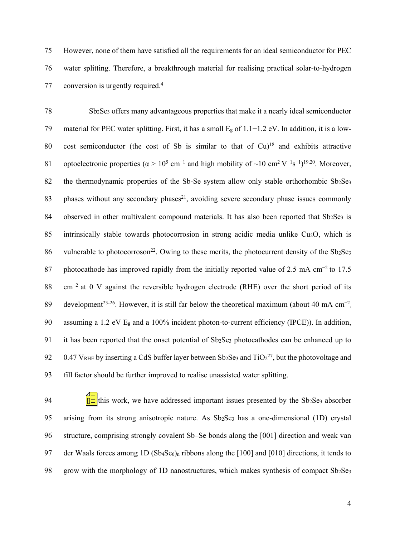75 However, none of them have satisfied all the requirements for an ideal semiconductor for PEC 76 water splitting. Therefore, a breakthrough material for realising practical solar-to-hydrogen 77 conversion is urgently required.<sup>4</sup>

78 Sb2Se3 offers many advantageous properties that make it a nearly ideal semiconductor 79 material for PEC water splitting. First, it has a small Eg of 1.1−1.2 eV. In addition, it is a low-80 cost semiconductor (the cost of Sb is similar to that of  $Cu$ )<sup>18</sup> and exhibits attractive 81 optoelectronic properties ( $\alpha > 10^5$  cm<sup>-1</sup> and high mobility of ~10 cm<sup>2</sup> V<sup>-1</sup>s<sup>-1</sup>)<sup>19,20</sup>. Moreover, 82 the thermodynamic properties of the Sb-Se system allow only stable orthorhombic Sb<sub>2</sub>Se<sub>3</sub> 83 phases without any secondary phases<sup>21</sup>, avoiding severe secondary phase issues commonly 84 observed in other multivalent compound materials. It has also been reported that  $Sb_2Se_3$  is 85 intrinsically stable towards photocorrosion in strong acidic media unlike Cu2O, which is 86 vulnerable to photocorroson<sup>22</sup>. Owing to these merits, the photocurrent density of the Sb<sub>2</sub>Se<sub>3</sub> 87 photocathode has improved rapidly from the initially reported value of 2.5 mA cm<sup>-2</sup> to 17.5 88 cm<sup>-2</sup> at 0 V against the reversible hydrogen electrode (RHE) over the short period of its 89 development<sup>23-26</sup>. However, it is still far below the theoretical maximum (about 40 mA cm<sup>-2</sup>, 90 assuming a 1.2 eV Eg and a 100% incident photon-to-current efficiency (IPCE)). In addition, 91 it has been reported that the onset potential of Sb<sub>2</sub>Se<sub>3</sub> photocathodes can be enhanced up to 92 0.47 VRHE by inserting a CdS buffer layer between Sb<sub>2</sub>Se<sub>3</sub> and TiO<sub>2</sub><sup>27</sup>, but the photovoltage and 93 fill factor should be further improved to realise unassisted water splitting.

94  $\frac{1}{\sqrt{2}}$  this work, we have addressed important issues presented by the Sb<sub>2</sub>Se<sub>3</sub> absorber 95 arising from its strong anisotropic nature. As Sb<sub>2</sub>Se<sub>3</sub> has a one-dimensional (1D) crystal 96 structure, comprising strongly covalent Sb–Se bonds along the [001] direction and weak van 97 der Waals forces among 1D (Sb<sub>4</sub>Se<sub>6</sub>)<sub>n</sub> ribbons along the [100] and [010] directions, it tends to 98 grow with the morphology of 1D nanostructures, which makes synthesis of compact  $Sb_2Se_3$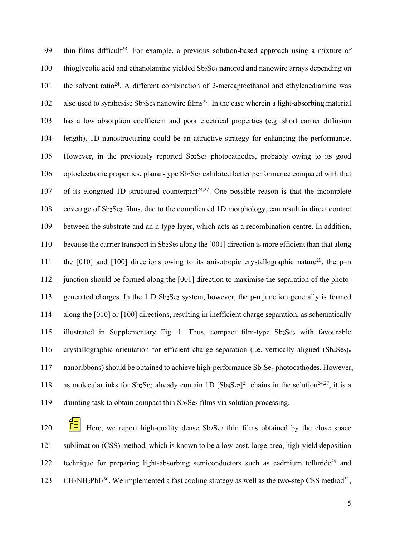99 thin films difficult<sup>28</sup>. For example, a previous solution-based approach using a mixture of 100 thioglycolic acid and ethanolamine yielded Sb2Se3 nanorod and nanowire arrays depending on 101 the solvent ratio<sup>24</sup>. A different combination of 2-mercaptoethanol and ethylenediamine was 102 also used to synthesise Sb<sub>2</sub>Se<sub>3</sub> nanowire films<sup>27</sup>. In the case wherein a light-absorbing material 103 has a low absorption coefficient and poor electrical properties (e.g. short carrier diffusion 104 length), 1D nanostructuring could be an attractive strategy for enhancing the performance. 105 However, in the previously reported Sb2Se3 photocathodes, probably owing to its good 106 optoelectronic properties, planar-type Sb2Se3 exhibited better performance compared with that 107 of its elongated 1D structured counterpart<sup> $24,27$ </sup>. One possible reason is that the incomplete 108 coverage of Sb2Se3 films, due to the complicated 1D morphology, can result in direct contact 109 between the substrate and an n-type layer, which acts as a recombination centre. In addition, 110 because the carrier transport in Sb2Se3 along the [001] direction is more efficient than that along 111 the [010] and [100] directions owing to its anisotropic crystallographic nature<sup>20</sup>, the p–n 112 junction should be formed along the [001] direction to maximise the separation of the photo-113 generated charges. In the 1 D Sb2Se3 system, however, the p-n junction generally is formed 114 along the [010] or [100] directions, resulting in inefficient charge separation, as schematically 115 illustrated in Supplementary Fig. 1. Thus, compact film-type Sb2Se3 with favourable 116 crystallographic orientation for efficient charge separation (i.e. vertically aligned (Sb<sub>4</sub>Se<sub>6</sub>)<sub>n</sub> 117 nanoribbons) should be obtained to achieve high-performance Sb2Se3 photocathodes. However, 118 as molecular inks for Sb2Se3 already contain 1D  $[Sb_4Se_7]^2$ <sup>-</sup> chains in the solution<sup>24,27</sup>, it is a 119 daunting task to obtain compact thin Sb2Se3 films via solution processing.

120  $|\overline{I}|\overline{I}|$  Here, we report high-quality dense Sb<sub>2</sub>Se<sub>3</sub> thin films obtained by the close space 121 sublimation (CSS) method, which is known to be a low-cost, large-area, high-yield deposition 122 technique for preparing light-absorbing semiconductors such as cadmium telluride<sup>29</sup> and 123 CH<sub>3</sub>NH<sub>3</sub>PbI<sub>3</sub><sup>30</sup>. We implemented a fast cooling strategy as well as the two-step CSS method<sup>31</sup>,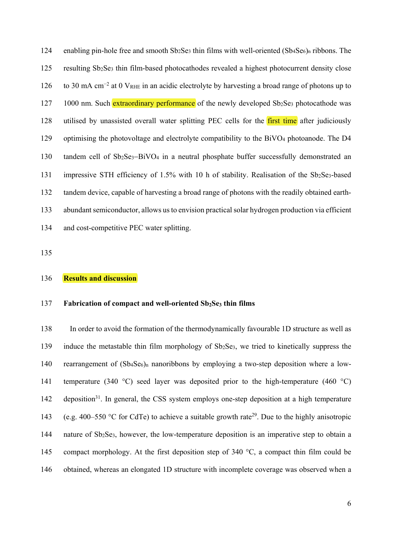124 enabling pin-hole free and smooth  $Sb_2Se_3$  thin films with well-oriented  $(Sb_4Se_6)$ <sub>n</sub> ribbons. The 125 resulting Sb2Se3 thin film-based photocathodes revealed a highest photocurrent density close to 30 mA cm<sup>−</sup><sup>2</sup> 126 at 0 VRHE in an acidic electrolyte by harvesting a broad range of photons up to 127 1000 nm. Such extraordinary performance of the newly developed Sb<sub>2</sub>Se<sub>3</sub> photocathode was 128 utilised by unassisted overall water splitting PEC cells for the first time after judiciously 129 optimising the photovoltage and electrolyte compatibility to the BiVO4 photoanode. The D4 130 tandem cell of Sb<sub>2</sub>Se<sub>3</sub>-BiVO<sub>4</sub> in a neutral phosphate buffer successfully demonstrated an 131 impressive STH efficiency of 1.5% with 10 h of stability. Realisation of the Sb2Se3-based 132 tandem device, capable of harvesting a broad range of photons with the readily obtained earth-133 abundant semiconductor, allows us to envision practical solar hydrogen production via efficient 134 and cost-competitive PEC water splitting.

135

#### 136 **Results and discussion**

#### 137 **Fabrication of compact and well-oriented Sb2Se3 thin films**

138 In order to avoid the formation of the thermodynamically favourable 1D structure as well as 139 induce the metastable thin film morphology of Sb2Se3, we tried to kinetically suppress the 140 rearrangement of  $(Sb_4Se_6)$ <sub>n</sub> nanoribbons by employing a two-step deposition where a low-141 temperature (340 °C) seed layer was deposited prior to the high-temperature (460 °C) 142 deposition<sup>31</sup>. In general, the CSS system employs one-step deposition at a high temperature (e.g. 400–550 °C for CdTe) to achieve a suitable growth rate<sup>29</sup>. Due to the highly anisotropic 144 nature of Sb2Se3, however, the low-temperature deposition is an imperative step to obtain a 145 compact morphology. At the first deposition step of 340 °C, a compact thin film could be 146 obtained, whereas an elongated 1D structure with incomplete coverage was observed when a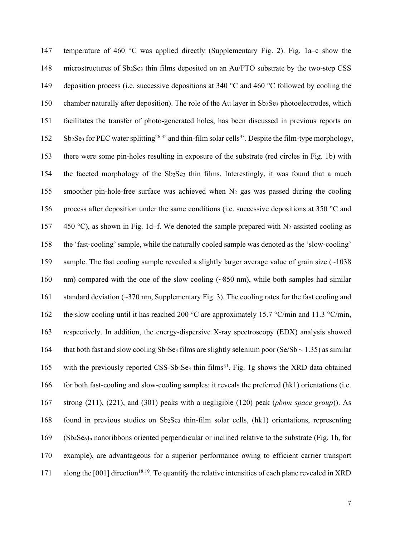147 temperature of 460 °C was applied directly (Supplementary Fig. 2). Fig. 1a–c show the 148 microstructures of Sb2Se3 thin films deposited on an Au/FTO substrate by the two-step CSS 149 deposition process (i.e. successive depositions at 340 °C and 460 °C followed by cooling the 150 chamber naturally after deposition). The role of the Au layer in Sb<sub>2</sub>Se<sub>3</sub> photoelectrodes, which 151 facilitates the transfer of photo-generated holes, has been discussed in previous reports on  $152$  Sb<sub>2</sub>Se<sub>3</sub> for PEC water splitting<sup>26,32</sup> and thin-film solar cells<sup>33</sup>. Despite the film-type morphology, 153 there were some pin-holes resulting in exposure of the substrate (red circles in Fig. 1b) with 154 the faceted morphology of the Sb2Se3 thin films. Interestingly, it was found that a much 155 smoother pin-hole-free surface was achieved when  $N_2$  gas was passed during the cooling 156 process after deposition under the same conditions (i.e. successive depositions at 350 °C and 157 450 °C), as shown in Fig. 1d–f. We denoted the sample prepared with N<sub>2</sub>-assisted cooling as 158 the 'fast-cooling' sample, while the naturally cooled sample was denoted as the 'slow-cooling' 159 sample. The fast cooling sample revealed a slightly larger average value of grain size  $\sim$  1038 160 nm) compared with the one of the slow cooling (~850 nm), while both samples had similar 161 standard deviation (~370 nm, Supplementary Fig. 3). The cooling rates for the fast cooling and 162 the slow cooling until it has reached 200 °C are approximately 15.7 °C/min and 11.3 °C/min, 163 respectively. In addition, the energy-dispersive X-ray spectroscopy (EDX) analysis showed 164 that both fast and slow cooling Sb<sub>2</sub>Se<sub>3</sub> films are slightly selenium poor (Se/Sb ~ 1.35) as similar 165 with the previously reported CSS-Sb<sub>2</sub>Se<sub>3</sub> thin films<sup>31</sup>. Fig. 1g shows the XRD data obtained 166 for both fast-cooling and slow-cooling samples: it reveals the preferred (hk1) orientations (i.e. 167 strong (211), (221), and (301) peaks with a negligible (120) peak (*pbnm space group*)). As 168 found in previous studies on Sb2Se3 thin-film solar cells, (hk1) orientations, representing 169 (Sb4Se6)n nanoribbons oriented perpendicular or inclined relative to the substrate (Fig. 1h, for 170 example), are advantageous for a superior performance owing to efficient carrier transport 171 along the [001] direction<sup>18,19</sup>. To quantify the relative intensities of each plane revealed in XRD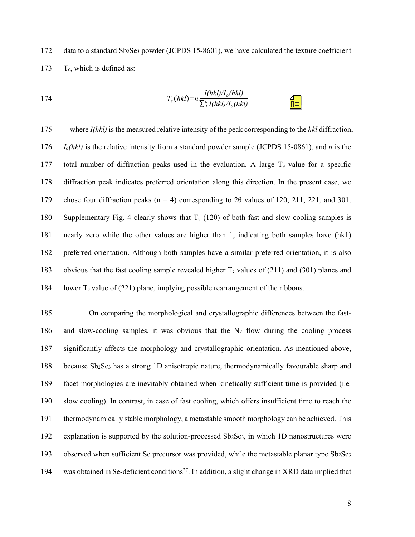172 data to a standard  $Sb_2Se_3$  powder (JCPDS 15-8601), we have calculated the texture coefficient 173 T<sub>c</sub>, which is defined as:

174 
$$
T_c(hkl) = n \frac{I(hkl)/I_o(hkl)}{\sum_l^{\eta} I(hkl)/I_o(hkl)}
$$

175 where *I(hkl)* is the measured relative intensity of the peak corresponding to the *hkl* diffraction, 176 *Io(hkl)* is the relative intensity from a standard powder sample (JCPDS 15-0861), and *n* is the 177 total number of diffraction peaks used in the evaluation. A large  $T_c$  value for a specific 178 diffraction peak indicates preferred orientation along this direction. In the present case, we 179 chose four diffraction peaks ( $n = 4$ ) corresponding to 2 $\theta$  values of 120, 211, 221, and 301. 180 Supplementary Fig. 4 clearly shows that  $T_c$  (120) of both fast and slow cooling samples is 181 nearly zero while the other values are higher than 1, indicating both samples have (hk1) 182 preferred orientation. Although both samples have a similar preferred orientation, it is also 183 obvious that the fast cooling sample revealed higher  $T_c$  values of (211) and (301) planes and 184 lower  $T_c$  value of (221) plane, implying possible rearrangement of the ribbons.

185 On comparing the morphological and crystallographic differences between the fast-186 and slow-cooling samples, it was obvious that the  $N_2$  flow during the cooling process 187 significantly affects the morphology and crystallographic orientation. As mentioned above, 188 because Sb2Se3 has a strong 1D anisotropic nature, thermodynamically favourable sharp and 189 facet morphologies are inevitably obtained when kinetically sufficient time is provided (i.e*.* 190 slow cooling). In contrast, in case of fast cooling, which offers insufficient time to reach the 191 thermodynamically stable morphology, a metastable smooth morphology can be achieved. This 192 explanation is supported by the solution-processed Sb2Se3, in which 1D nanostructures were 193 observed when sufficient Se precursor was provided, while the metastable planar type  $Sb_2Se_3$ 194 was obtained in Se-deficient conditions<sup>27</sup>. In addition, a slight change in XRD data implied that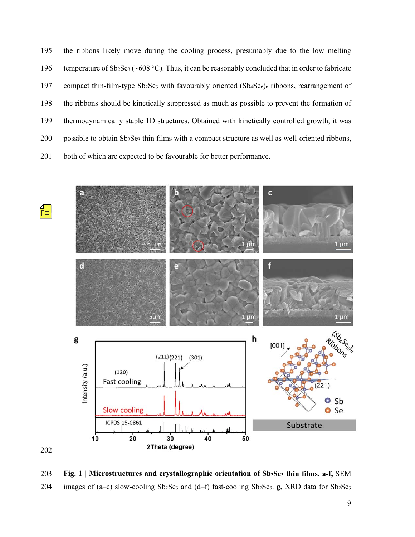195 the ribbons likely move during the cooling process, presumably due to the low melting 196 temperature of Sb2Se3 (~608 °C). Thus, it can be reasonably concluded that in order to fabricate 197 compact thin-film-type Sb<sub>2</sub>Se<sub>3</sub> with favourably oriented (Sb<sub>4</sub>Se<sub>6</sub>)<sub>n</sub> ribbons, rearrangement of 198 the ribbons should be kinetically suppressed as much as possible to prevent the formation of 199 thermodynamically stable 1D structures. Obtained with kinetically controlled growth, it was 200 possible to obtain Sb2Se3 thin films with a compact structure as well as well-oriented ribbons, 201 both of which are expected to be favourable for better performance.



203 **Fig. 1 | Microstructures and crystallographic orientation of Sb2Se3 thin films. a-f,** SEM 204 images of (a–c) slow-cooling Sb<sub>2</sub>Se<sub>3</sub> and (d–f) fast-cooling Sb<sub>2</sub>Se<sub>3</sub>. **g**, XRD data for Sb<sub>2</sub>Se<sub>3</sub>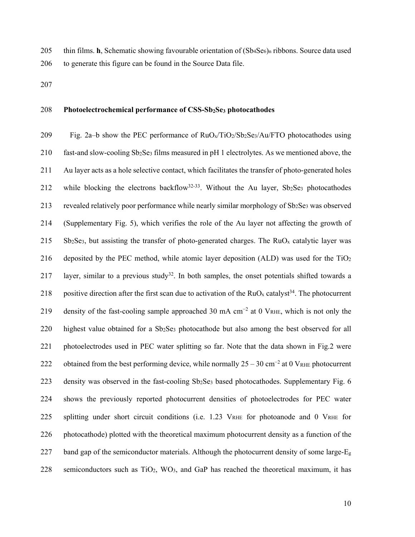205 thin films. **h**, Schematic showing favourable orientation of (Sb<sub>4</sub>Se<sub>6</sub>)<sub>n</sub> ribbons. Source data used 206 to generate this figure can be found in the Source Data file.

207

## 208 **Photoelectrochemical performance of CSS-Sb2Se3 photocathodes**

209 Fig. 2a–b show the PEC performance of  $RuO<sub>x</sub>/TiO<sub>2</sub>/Sb<sub>2</sub>Se<sub>3</sub>/Au/FTO photocathodes using$ 210 fast-and slow-cooling Sb<sub>2</sub>Se<sub>3</sub> films measured in pH 1 electrolytes. As we mentioned above, the 211 Au layer acts as a hole selective contact, which facilitates the transfer of photo-generated holes 212 while blocking the electrons backflow<sup>32-33</sup>. Without the Au layer, Sb<sub>2</sub>Se<sub>3</sub> photocathodes 213 revealed relatively poor performance while nearly similar morphology of Sb2Se3 was observed 214 (Supplementary Fig. 5), which verifies the role of the Au layer not affecting the growth of 215 Sb<sub>2</sub>Se<sub>3</sub>, but assisting the transfer of photo-generated charges. The RuO<sub>x</sub> catalytic layer was 216 deposited by the PEC method, while atomic layer deposition (ALD) was used for the TiO2 217 layer, similar to a previous study<sup>32</sup>. In both samples, the onset potentials shifted towards a 218 positive direction after the first scan due to activation of the  $RuO<sub>x</sub>$  catalyst<sup>34</sup>. The photocurrent 219 density of the fast-cooling sample approached 30 mA cm<sup>-2</sup> at 0 V<sub>RHE</sub>, which is not only the 220 highest value obtained for a Sb2Se3 photocathode but also among the best observed for all 221 photoelectrodes used in PEC water splitting so far. Note that the data shown in Fig.2 were 222 obtained from the best performing device, while normally  $25 - 30$  cm<sup>-2</sup> at 0 V<sub>RHE</sub> photocurrent 223 density was observed in the fast-cooling Sb2Se3 based photocathodes. Supplementary Fig. 6 224 shows the previously reported photocurrent densities of photoelectrodes for PEC water 225 splitting under short circuit conditions (i.e. 1.23 VRHE for photoanode and 0 VRHE for 226 photocathode) plotted with the theoretical maximum photocurrent density as a function of the 227 band gap of the semiconductor materials. Although the photocurrent density of some large- $E_g$ 228 semiconductors such as TiO2, WO3, and GaP has reached the theoretical maximum, it has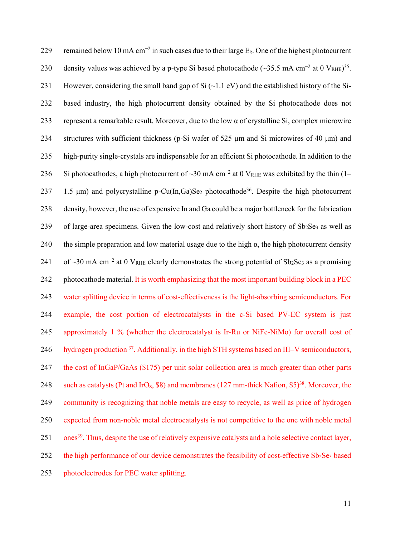229 remained below 10 mA cm<sup>-2</sup> in such cases due to their large  $E_g$ . One of the highest photocurrent 230 density values was achieved by a p-type Si based photocathode (~35.5 mA cm<sup>-2</sup> at 0 V<sub>RHE</sub>)<sup>35</sup>. 231 However, considering the small band gap of Si  $(\sim 1.1 \text{ eV})$  and the established history of the Si-232 based industry, the high photocurrent density obtained by the Si photocathode does not 233 represent a remarkable result. Moreover, due to the low α of crystalline Si, complex microwire 234 structures with sufficient thickness (p-Si wafer of 525 μm and Si microwires of 40 μm) and 235 high-purity single-crystals are indispensable for an efficient Si photocathode. In addition to the 236 Si photocathodes, a high photocurrent of ~30 mA cm<sup>-2</sup> at 0 V<sub>RHE</sub> was exhibited by the thin (1– 237 1.5  $\mu$ m) and polycrystalline p-Cu(In,Ga)Se<sub>2</sub> photocathode<sup>36</sup>. Despite the high photocurrent 238 density, however, the use of expensive In and Ga could be a major bottleneck for the fabrication  $239$  of large-area specimens. Given the low-cost and relatively short history of Sb<sub>2</sub>Se<sub>3</sub> as well as 240 the simple preparation and low material usage due to the high  $\alpha$ , the high photocurrent density 241 of ~30 mA cm<sup>-2</sup> at 0 V<sub>RHE</sub> clearly demonstrates the strong potential of Sb<sub>2</sub>Se<sub>3</sub> as a promising 242 photocathode material. It is worth emphasizing that the most important building block in a PEC 243 water splitting device in terms of cost-effectiveness is the light-absorbing semiconductors. For 244 example, the cost portion of electrocatalysts in the c-Si based PV-EC system is just 245 approximately 1 % (whether the electrocatalyst is Ir-Ru or NiFe-NiMo) for overall cost of 246 hydrogen production <sup>37</sup>. Additionally, in the high STH systems based on III–V semiconductors, 247 the cost of InGaP/GaAs (\$175) per unit solar collection area is much greater than other parts 248 such as catalysts (Pt and IrO<sub>x</sub>, \$8) and membranes (127 mm-thick Nafion, \$5)<sup>38</sup>. Moreover, the 249 community is recognizing that noble metals are easy to recycle, as well as price of hydrogen 250 expected from non-noble metal electrocatalysts is not competitive to the one with noble metal 251 ones<sup>39</sup>. Thus, despite the use of relatively expensive catalysts and a hole selective contact layer, 252 the high performance of our device demonstrates the feasibility of cost-effective Sb<sub>2</sub>Se<sub>3</sub> based 253 photoelectrodes for PEC water splitting.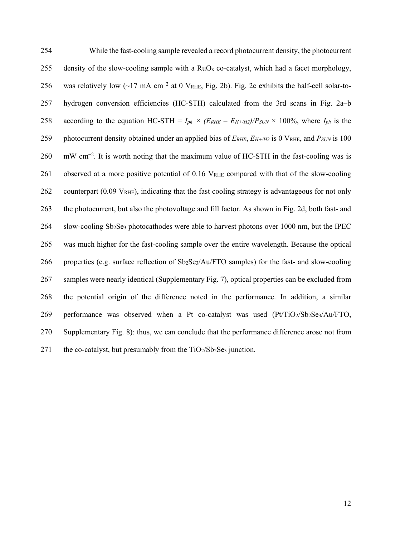| 254 | While the fast-cooling sample revealed a record photocurrent density, the photocurrent                                 |
|-----|------------------------------------------------------------------------------------------------------------------------|
| 255 | density of the slow-cooling sample with a $RuO_x$ co-catalyst, which had a facet morphology,                           |
| 256 | was relatively low $({\sim}17 \text{ mA cm}^{-2}$ at 0 VRHE, Fig. 2b). Fig. 2c exhibits the half-cell solar-to-        |
| 257 | hydrogen conversion efficiencies (HC-STH) calculated from the 3rd scans in Fig. 2a-b                                   |
| 258 | according to the equation HC-STH = $I_{ph} \times (E_{RHE} - E_{H+/H2})/P_{SUM} \times 100\%$ , where $I_{ph}$ is the  |
| 259 | photocurrent density obtained under an applied bias of $E_{RHE}$ , $E_{H+/H2}$ is 0 VRHE, and $P_{SUM}$ is 100         |
| 260 | $mW \text{ cm}^{-2}$ . It is worth noting that the maximum value of HC-STH in the fast-cooling was is                  |
| 261 | observed at a more positive potential of 0.16 VRHE compared with that of the slow-cooling                              |
| 262 | counterpart $(0.09 \text{ V}_{RHE})$ , indicating that the fast cooling strategy is advantageous for not only          |
| 263 | the photocurrent, but also the photovoltage and fill factor. As shown in Fig. 2d, both fast- and                       |
| 264 | slow-cooling Sb <sub>2</sub> Se <sub>3</sub> photocathodes were able to harvest photons over 1000 nm, but the IPEC     |
| 265 | was much higher for the fast-cooling sample over the entire wavelength. Because the optical                            |
| 266 | properties (e.g. surface reflection of Sb <sub>2</sub> Se <sub>3</sub> /Au/FTO samples) for the fast- and slow-cooling |
| 267 | samples were nearly identical (Supplementary Fig. 7), optical properties can be excluded from                          |
| 268 | the potential origin of the difference noted in the performance. In addition, a similar                                |
| 269 | performance was observed when a Pt co-catalyst was used (Pt/TiO2/Sb2Se3/Au/FTO,                                        |
| 270 | Supplementary Fig. 8): thus, we can conclude that the performance difference arose not from                            |
| 271 | the co-catalyst, but presumably from the $TiO2/Sb2Se3$ junction.                                                       |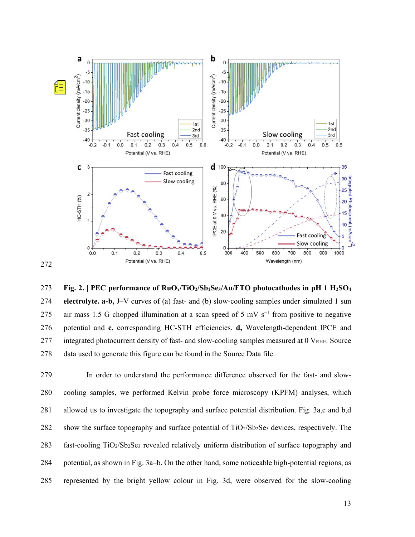

273 **Fig. 2. | PEC performance of RuOx/TiO2/Sb2Se3/Au/FTO photocathodes in pH 1 H2SO4** 274 **electrolyte. a-b,** J–V curves of (a) fast- and (b) slow-cooling samples under simulated 1 sun 275 air mass 1.5 G chopped illumination at a scan speed of 5 mV s<sup>-1</sup> from positive to negative 276 potential and **c,** corresponding HC-STH efficiencies. **d,** Wavelength-dependent IPCE and 277 integrated photocurrent density of fast- and slow-cooling samples measured at 0 V<sub>RHE</sub>. Source 278 data used to generate this figure can be found in the Source Data file.

279 In order to understand the performance difference observed for the fast- and slow-280 cooling samples, we performed Kelvin probe force microscopy (KPFM) analyses, which 281 allowed us to investigate the topography and surface potential distribution. Fig. 3a,c and b,d 282 show the surface topography and surface potential of TiO<sub>2</sub>/Sb<sub>2</sub>Se<sub>3</sub> devices, respectively. The 283 fast-cooling TiO2/Sb2Se3 revealed relatively uniform distribution of surface topography and 284 potential, as shown in Fig. 3a–b. On the other hand, some noticeable high-potential regions, as 285 represented by the bright yellow colour in Fig. 3d, were observed for the slow-cooling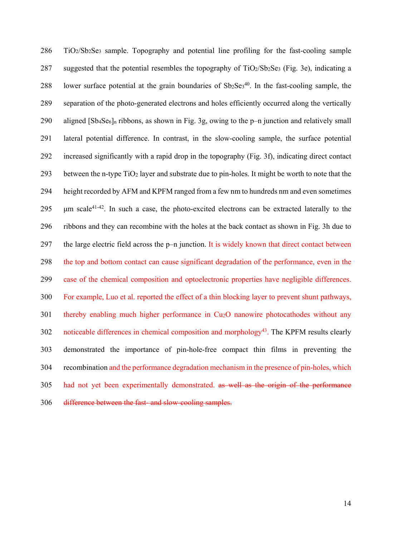286 TiO2/Sb2Se3 sample. Topography and potential line profiling for the fast-cooling sample 287 suggested that the potential resembles the topography of  $TiO<sub>2</sub>/Sb<sub>2</sub>Se<sub>3</sub>$  (Fig. 3e), indicating a 288 lower surface potential at the grain boundaries of  $Sb_2Se_3^{40}$ . In the fast-cooling sample, the 289 separation of the photo-generated electrons and holes efficiently occurred along the vertically 290 aligned [Sb4Se6]n ribbons, as shown in Fig. 3g, owing to the p–n junction and relatively small 291 lateral potential difference. In contrast, in the slow-cooling sample, the surface potential 292 increased significantly with a rapid drop in the topography (Fig. 3f), indicating direct contact 293 between the n-type TiO2 layer and substrate due to pin-holes. It might be worth to note that the 294 height recorded by AFM and KPFM ranged from a few nm to hundreds nm and even sometimes 295  $\mu$ m scale<sup>41-42</sup>. In such a case, the photo-excited electrons can be extracted laterally to the 296 ribbons and they can recombine with the holes at the back contact as shown in Fig. 3h due to 297 the large electric field across the p–n junction. It is widely known that direct contact between 298 the top and bottom contact can cause significant degradation of the performance, even in the 299 case of the chemical composition and optoelectronic properties have negligible differences. 300 For example, Luo et al. reported the effect of a thin blocking layer to prevent shunt pathways, 301 thereby enabling much higher performance in Cu2O nanowire photocathodes without any 302 noticeable differences in chemical composition and morphology<sup>43</sup>. The KPFM results clearly 303 demonstrated the importance of pin-hole-free compact thin films in preventing the 304 recombination and the performance degradation mechanism in the presence of pin-holes, which 305 had not yet been experimentally demonstrated. as well as the origin of the performance 306 difference between the fast- and slow-cooling samples.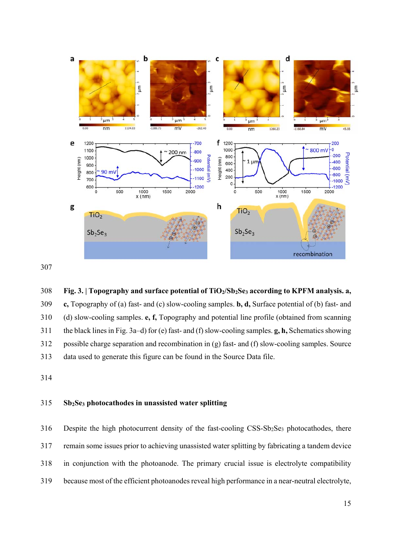



308 **Fig. 3. | Topography and surface potential of TiO2/Sb2Se3 according to KPFM analysis. a,**  309 **c,** Topography of (a) fast- and (c) slow-cooling samples. **b, d,** Surface potential of (b) fast- and 310 (d) slow-cooling samples. **e, f,** Topography and potential line profile (obtained from scanning 311 the black lines in Fig. 3a–d) for (e) fast- and (f) slow-cooling samples. **g, h,** Schematics showing 312 possible charge separation and recombination in (g) fast- and (f) slow-cooling samples. Source 313 data used to generate this figure can be found in the Source Data file.

314

#### 315 **Sb2Se3 photocathodes in unassisted water splitting**

316 Despite the high photocurrent density of the fast-cooling CSS-Sb2Se3 photocathodes, there 317 remain some issues prior to achieving unassisted water splitting by fabricating a tandem device 318 in conjunction with the photoanode. The primary crucial issue is electrolyte compatibility 319 because most of the efficient photoanodes reveal high performance in a near-neutral electrolyte,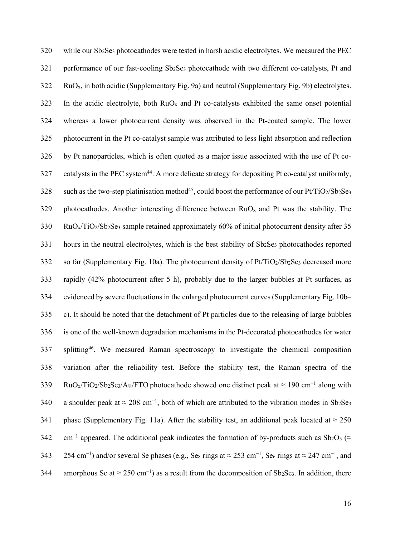320 while our Sb2Se3 photocathodes were tested in harsh acidic electrolytes. We measured the PEC 321 performance of our fast-cooling Sb2Se3 photocathode with two different co-catalysts, Pt and  $322$  RuO<sub>x</sub>, in both acidic (Supplementary Fig. 9a) and neutral (Supplementary Fig. 9b) electrolytes. 323 In the acidic electrolyte, both RuOx and Pt co-catalysts exhibited the same onset potential 324 whereas a lower photocurrent density was observed in the Pt-coated sample. The lower 325 photocurrent in the Pt co-catalyst sample was attributed to less light absorption and reflection 326 by Pt nanoparticles, which is often quoted as a major issue associated with the use of Pt co-327 catalysts in the PEC system<sup>44</sup>. A more delicate strategy for depositing Pt co-catalyst uniformly, 328 such as the two-step platinisation method<sup>45</sup>, could boost the performance of our  $Pt/TiO<sub>2</sub>/Sb<sub>2</sub>Se<sub>3</sub>$ 329 photocathodes. Another interesting difference between  $RuO<sub>x</sub>$  and Pt was the stability. The 330 RuOx/TiO2/Sb2Se3 sample retained approximately 60% of initial photocurrent density after 35 331 hours in the neutral electrolytes, which is the best stability of Sb<sub>2</sub>Se<sub>3</sub> photocathodes reported 332 so far (Supplementary Fig. 10a). The photocurrent density of  $Pt/TiO_2/Sb_2Se_3$  decreased more 333 rapidly (42% photocurrent after 5 h), probably due to the larger bubbles at Pt surfaces, as 334 evidenced by severe fluctuations in the enlarged photocurrent curves (Supplementary Fig. 10b– 335 c). It should be noted that the detachment of Pt particles due to the releasing of large bubbles 336 is one of the well-known degradation mechanisms in the Pt-decorated photocathodes for water 337 splitting<sup>46</sup>. We measured Raman spectroscopy to investigate the chemical composition 338 variation after the reliability test. Before the stability test, the Raman spectra of the  $B_3$  RuO<sub>x</sub>/TiO<sub>2</sub>/Sb<sub>2</sub>Se<sub>3</sub>/Au/FTO photocathode showed one distinct peak at ≈ 190 cm<sup>-1</sup> along with 340 a shoulder peak at  $\approx 208 \text{ cm}^{-1}$ , both of which are attributed to the vibration modes in Sb2Se3 341 phase (Supplementary Fig. 11a). After the stability test, an additional peak located at  $\approx$  250 342 cm<sup>-1</sup> appeared. The additional peak indicates the formation of by-products such as Sb<sub>2</sub>O<sub>3</sub> (≈ 254 cm<sup>-1</sup>) and/or several Se phases (e.g., Se<sub>8</sub> rings at ≈ 253 cm<sup>-1</sup>, Se<sub>6</sub> rings at ≈ 247 cm<sup>-1</sup>, and 344 amorphous Se at  $\approx 250 \text{ cm}^{-1}$ ) as a result from the decomposition of Sb2Se3. In addition, there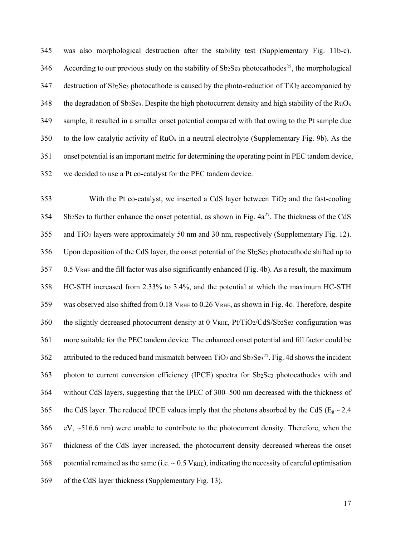345 was also morphological destruction after the stability test (Supplementary Fig. 11b-c).  $346$  According to our previous study on the stability of Sb<sub>2</sub>Se<sub>3</sub> photocathodes<sup>25</sup>, the morphological 347 destruction of Sb<sub>2</sub>Se<sub>3</sub> photocathode is caused by the photo-reduction of TiO<sub>2</sub> accompanied by 348 the degradation of Sb<sub>2</sub>Se<sub>3</sub>. Despite the high photocurrent density and high stability of the RuO<sub>x</sub> 349 sample, it resulted in a smaller onset potential compared with that owing to the Pt sample due 350 to the low catalytic activity of  $RuO<sub>x</sub>$  in a neutral electrolyte (Supplementary Fig. 9b). As the 351 onset potential is an important metric for determining the operating point in PEC tandem device, 352 we decided to use a Pt co-catalyst for the PEC tandem device.

353 With the Pt co-catalyst, we inserted a CdS layer between TiO2 and the fast-cooling  $354$  Sb<sub>2</sub>Se<sub>3</sub> to further enhance the onset potential, as shown in Fig.  $4a^{27}$ . The thickness of the CdS 355 and TiO2 layers were approximately 50 nm and 30 nm, respectively (Supplementary Fig. 12). 356 Upon deposition of the CdS layer, the onset potential of the Sb2Se3 photocathode shifted up to 357 0.5 VRHE and the fill factor was also significantly enhanced (Fig. 4b). As a result, the maximum 358 HC-STH increased from 2.33% to 3.4%, and the potential at which the maximum HC-STH 359 was observed also shifted from 0.18 VRHE to 0.26 VRHE, as shown in Fig. 4c. Therefore, despite 360 the slightly decreased photocurrent density at 0 VRHE,  $Pt/TiO_2/CdS/Sb_2Se_3$  configuration was 361 more suitable for the PEC tandem device. The enhanced onset potential and fill factor could be 362 attributed to the reduced band mismatch between  $TiO<sub>2</sub>$  and  $Sb<sub>2</sub>Se<sub>3</sub><sup>27</sup>$ . Fig. 4d shows the incident 363 photon to current conversion efficiency (IPCE) spectra for Sb2Se3 photocathodes with and 364 without CdS layers, suggesting that the IPEC of 300–500 nm decreased with the thickness of 365 the CdS layer. The reduced IPCE values imply that the photons absorbed by the CdS ( $E_g \sim 2.4$ )  $366$  eV,  $\sim$ 516.6 nm) were unable to contribute to the photocurrent density. Therefore, when the 367 thickness of the CdS layer increased, the photocurrent density decreased whereas the onset 368 potential remained as the same (i.e.  $\sim 0.5$  VRHE), indicating the necessity of careful optimisation 369 of the CdS layer thickness (Supplementary Fig. 13).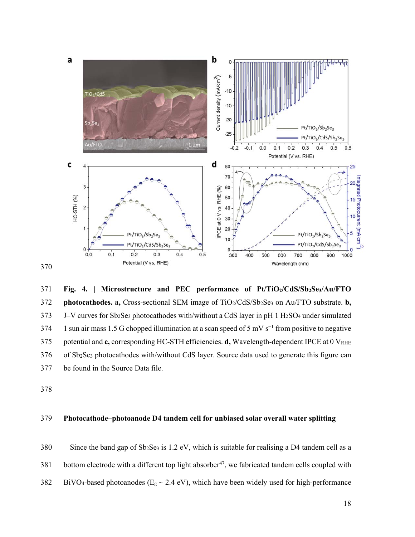

371 **Fig. 4. | Microstructure and PEC performance of Pt/TiO2/CdS/Sb2Se3/Au/FTO**  372 **photocathodes. a,** Cross-sectional SEM image of TiO2/CdS/Sb2Se3 on Au/FTO substrate. **b,** 373 J–V curves for Sb2Se3 photocathodes with/without a CdS layer in pH 1 H2SO4 under simulated  $1 \text{ sun air mass } 1.5 \text{ G choped illumination at a scan speed of } 5 \text{ mV s}^{-1}$  from positive to negative 375 potential and **c**, corresponding HC-STH efficiencies. **d**, Wavelength-dependent IPCE at 0 V<sub>RHE</sub> 376 of Sb2Se3 photocathodes with/without CdS layer. Source data used to generate this figure can 377 be found in the Source Data file.

378

## 379 **Photocathode–photoanode D4 tandem cell for unbiased solar overall water splitting**

380 Since the band gap of Sb2Se3 is 1.2 eV, which is suitable for realising a D4 tandem cell as a 381 bottom electrode with a different top light absorber<sup>47</sup>, we fabricated tandem cells coupled with

382 BiVO<sub>4</sub>-based photoanodes ( $E_g \sim 2.4$  eV), which have been widely used for high-performance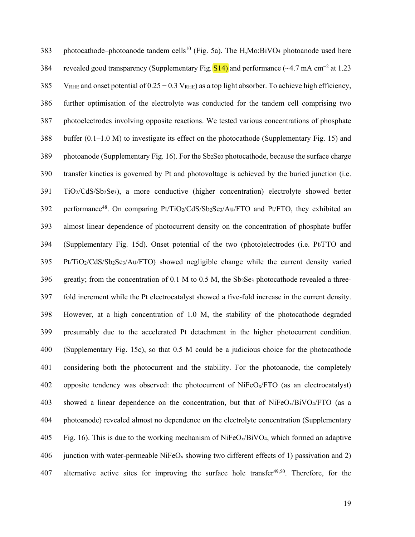383 photocathode–photoanode tandem cells<sup>10</sup> (Fig. 5a). The H,Mo:BiVO<sub>4</sub> photoanode used here 384 revealed good transparency (Supplementary Fig.  $\boxed{S14}$ ) and performance (~4.7 mA cm<sup>-2</sup> at 1.23 385 VRHE and onset potential of 0.25 − 0.3 VRHE) as a top light absorber. To achieve high efficiency, 386 further optimisation of the electrolyte was conducted for the tandem cell comprising two 387 photoelectrodes involving opposite reactions. We tested various concentrations of phosphate 388 buffer  $(0.1-1.0 \text{ M})$  to investigate its effect on the photocathode (Supplementary Fig. 15) and 389 photoanode (Supplementary Fig. 16). For the Sb2Se3 photocathode, because the surface charge 390 transfer kinetics is governed by Pt and photovoltage is achieved by the buried junction (i.e. 391 TiO2/CdS/Sb2Se3), a more conductive (higher concentration) electrolyte showed better 392 performance<sup>48</sup>. On comparing Pt/TiO<sub>2</sub>/CdS/Sb<sub>2</sub>Se<sub>3</sub>/Au/FTO and Pt/FTO, they exhibited an 393 almost linear dependence of photocurrent density on the concentration of phosphate buffer 394 (Supplementary Fig. 15d). Onset potential of the two (photo)electrodes (i.e. Pt/FTO and 395 Pt/TiO2/CdS/Sb2Se3/Au/FTO) showed negligible change while the current density varied 396 greatly; from the concentration of 0.1 M to 0.5 M, the  $Sb_2Se_3$  photocathode revealed a three-397 fold increment while the Pt electrocatalyst showed a five-fold increase in the current density. 398 However, at a high concentration of 1.0 M, the stability of the photocathode degraded 399 presumably due to the accelerated Pt detachment in the higher photocurrent condition. 400 (Supplementary Fig. 15c), so that 0.5 M could be a judicious choice for the photocathode 401 considering both the photocurrent and the stability. For the photoanode, the completely 402 opposite tendency was observed: the photocurrent of NiFeOx/FTO (as an electrocatalyst) 403 showed a linear dependence on the concentration, but that of NiFeOx/BiVO4/FTO (as a 404 photoanode) revealed almost no dependence on the electrolyte concentration (Supplementary 405 Fig. 16). This is due to the working mechanism of NiFeO<sub>x</sub>/BiVO<sub>4</sub>, which formed an adaptive 406 junction with water-permeable NiFeO<sub>x</sub> showing two different effects of 1) passivation and 2) 407 alternative active sites for improving the surface hole transfer $49,50$ . Therefore, for the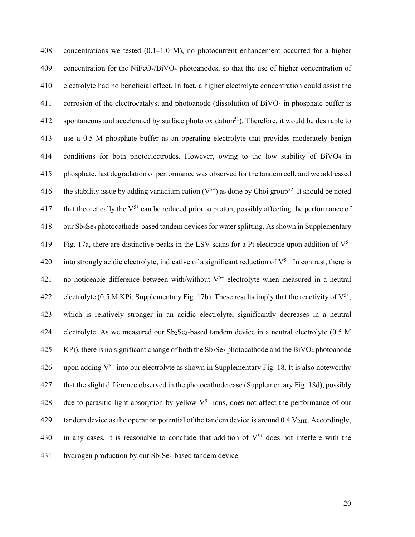408 concentrations we tested (0.1–1.0 M), no photocurrent enhancement occurred for a higher 409 concentration for the NiFeO<sub>x</sub>/BiVO<sub>4</sub> photoanodes, so that the use of higher concentration of 410 electrolyte had no beneficial effect. In fact, a higher electrolyte concentration could assist the 411 corrosion of the electrocatalyst and photoanode (dissolution of BiVO4 in phosphate buffer is 412 spontaneous and accelerated by surface photo oxidation<sup>51</sup>). Therefore, it would be desirable to 413 use a 0.5 M phosphate buffer as an operating electrolyte that provides moderately benign 414 conditions for both photoelectrodes. However, owing to the low stability of BiVO4 in 415 phosphate, fast degradation of performance was observed for the tandem cell, and we addressed 416 the stability issue by adding vanadium cation  $(V^{5+})$  as done by Choi group<sup>52</sup>. It should be noted 417 that theoretically the  $V^{5+}$  can be reduced prior to proton, possibly affecting the performance of 418 our Sb2Se3 photocathode-based tandem devices for water splitting. As shown in Supplementary Fig. 17a, there are distinctive peaks in the LSV scans for a Pt electrode upon addition of  $V^{5+}$ 420 into strongly acidic electrolyte, indicative of a significant reduction of  $V^{5+}$ . In contrast, there is 421 no noticeable difference between with/without  $V^{5+}$  electrolyte when measured in a neutral 422 electrolyte (0.5 M KPi, Supplementary Fig. 17b). These results imply that the reactivity of  $V^{5+}$ , 423 which is relatively stronger in an acidic electrolyte, significantly decreases in a neutral 424 electrolyte. As we measured our Sb2Se3-based tandem device in a neutral electrolyte (0.5 M  $425$  KPi), there is no significant change of both the Sb<sub>2</sub>Se<sub>3</sub> photocathode and the BiVO<sub>4</sub> photoanode 426 upon adding  $V^{5+}$  into our electrolyte as shown in Supplementary Fig. 18. It is also noteworthy 427 that the slight difference observed in the photocathode case (Supplementary Fig. 18d), possibly 428 due to parasitic light absorption by yellow  $V^{5+}$  ions, does not affect the performance of our 429 tandem device as the operation potential of the tandem device is around  $0.4$  V<sub>RHE</sub>. Accordingly, 430 in any cases, it is reasonable to conclude that addition of  $V^{5+}$  does not interfere with the 431 hydrogen production by our Sb2Se3-based tandem device.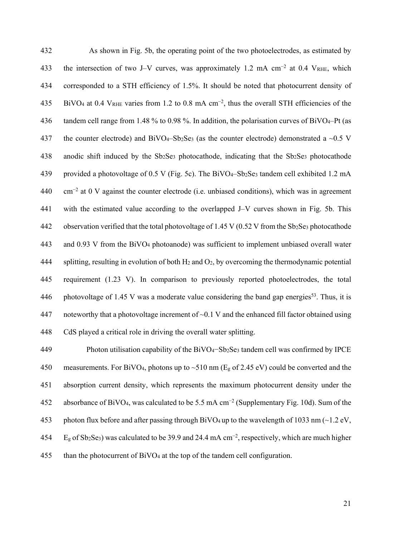432 As shown in Fig. 5b, the operating point of the two photoelectrodes, as estimated by the intersection of two J–V curves, was approximately 1.2 mA cm<sup>-2</sup> at 0.4 V<sub>RHE</sub>, which 434 corresponded to a STH efficiency of 1.5%. It should be noted that photocurrent density of 435 BiVO<sub>4</sub> at 0.4 VRHE varies from 1.2 to 0.8 mA cm<sup>-2</sup>, thus the overall STH efficiencies of the 436 tandem cell range from 1.48 % to 0.98 %. In addition, the polarisation curves of BiVO<sub>4</sub>–Pt (as 437 the counter electrode) and  $BiVO<sub>4</sub>–Sb<sub>2</sub>Se<sub>3</sub>$  (as the counter electrode) demonstrated a  $~0.5$  V 438 anodic shift induced by the Sb2Se3 photocathode, indicating that the Sb2Se3 photocathode 439 provided a photovoltage of 0.5 V (Fig. 5c). The BiVO4–Sb2Se3 tandem cell exhibited 1.2 mA cm<sup>−</sup><sup>2</sup> 440 at 0 V against the counter electrode (i.e. unbiased conditions), which was in agreement 441 with the estimated value according to the overlapped J–V curves shown in Fig. 5b. This 442 observation verified that the total photovoltage of 1.45 V (0.52 V from the Sb<sub>2</sub>Se<sub>3</sub> photocathode 443 and 0.93 V from the BiVO4 photoanode) was sufficient to implement unbiased overall water 444 splitting, resulting in evolution of both  $H_2$  and  $O_2$ , by overcoming the thermodynamic potential 445 requirement (1.23 V). In comparison to previously reported photoelectrodes, the total 446 photovoltage of 1.45 V was a moderate value considering the band gap energies<sup>53</sup>. Thus, it is 447 noteworthy that a photovoltage increment of  $\sim$ 0.1 V and the enhanced fill factor obtained using 448 CdS played a critical role in driving the overall water splitting.

449 Photon utilisation capability of the BiVO4−Sb2Se3 tandem cell was confirmed by IPCE 450 measurements. For BiVO<sub>4</sub>, photons up to  $\sim$  510 nm (E<sub>g</sub> of 2.45 eV) could be converted and the 451 absorption current density, which represents the maximum photocurrent density under the absorbance of BiVO4, was calculated to be 5.5 mA cm<sup>−</sup><sup>2</sup> 452 (Supplementary Fig. 10d). Sum of the 453 photon flux before and after passing through BiVO<sub>4</sub> up to the wavelength of 1033 nm ( $\sim$ 1.2 eV,  $E_g$  of Sb<sub>2</sub>Se<sub>3</sub>) was calculated to be 39.9 and 24.4 mA cm<sup>-2</sup>, respectively, which are much higher 455 than the photocurrent of BiVO4 at the top of the tandem cell configuration.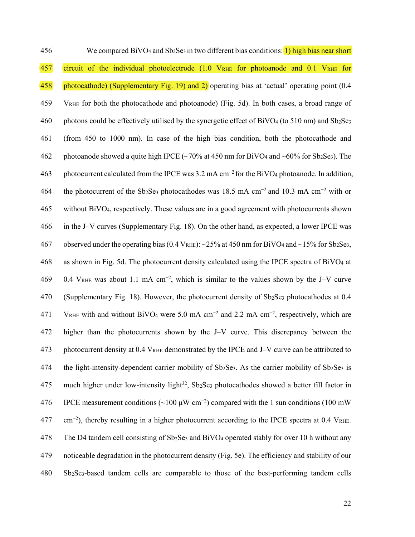456 We compared BiVO<sub>4</sub> and Sb<sub>2</sub>Se<sub>3</sub> in two different bias conditions: 1) high bias near short 457 circuit of the individual photoelectrode (1.0 VRHE for photoanode and 0.1 VRHE for 458 photocathode) (Supplementary Fig. 19) and 2) operating bias at 'actual' operating point (0.4 459 VRHE for both the photocathode and photoanode) (Fig. 5d). In both cases, a broad range of 460 photons could be effectively utilised by the synergetic effect of BiVO<sub>4</sub> (to 510 nm) and Sb<sub>2</sub>Se<sub>3</sub> 461 (from 450 to 1000 nm). In case of the high bias condition, both the photocathode and 462 photoanode showed a quite high IPCE ( $\sim$ 70% at 450 nm for BiVO<sub>4</sub> and  $\sim$ 60% for Sb<sub>2</sub>Se<sub>3</sub>). The 463 photocurrent calculated from the IPCE was 3.2 mA cm<sup>-2</sup> for the BiVO<sub>4</sub> photoanode. In addition, 464 the photocurrent of the Sb<sub>2</sub>Se<sub>3</sub> photocathodes was 18.5 mA cm<sup>-2</sup> and 10.3 mA cm<sup>-2</sup> with or 465 without BiVO4, respectively. These values are in a good agreement with photocurrents shown 466 in the J–V curves (Supplementary Fig. 18). On the other hand, as expected, a lower IPCE was 467 observed under the operating bias (0.4 VRHE):  $\sim$ 25% at 450 nm for BiVO<sub>4</sub> and  $\sim$ 15% for Sb<sub>2</sub>Se<sub>3</sub>, 468 as shown in Fig. 5d. The photocurrent density calculated using the IPCE spectra of BiVO4 at 0.4 VRHE was about 1.1 mA cm<sup>−</sup><sup>2</sup> 469 , which is similar to the values shown by the J–V curve 470 (Supplementary Fig. 18). However, the photocurrent density of Sb2Se3 photocathodes at 0.4 471 V<sub>RHE</sub> with and without BiVO<sub>4</sub> were 5.0 mA cm<sup>-2</sup> and 2.2 mA cm<sup>-2</sup>, respectively, which are 472 higher than the photocurrents shown by the J–V curve. This discrepancy between the 473 photocurrent density at 0.4 V<sub>RHE</sub> demonstrated by the IPCE and J–V curve can be attributed to 474 the light-intensity-dependent carrier mobility of  $Sb_2Se_3$ . As the carrier mobility of  $Sb_2Se_3$  is 475 much higher under low-intensity light<sup>32</sup>, Sb<sub>2</sub>Se<sub>3</sub> photocathodes showed a better fill factor in 176 IPCE measurement conditions (~100 μW cm<sup>-2</sup>) compared with the 1 sun conditions (100 mW  $\text{cm}^{-2}$ ), thereby resulting in a higher photocurrent according to the IPCE spectra at 0.4 VRHE. 478 The D4 tandem cell consisting of Sb2Se3 and BiVO4 operated stably for over 10 h without any 479 noticeable degradation in the photocurrent density (Fig. 5e). The efficiency and stability of our 480 Sb2Se3-based tandem cells are comparable to those of the best-performing tandem cells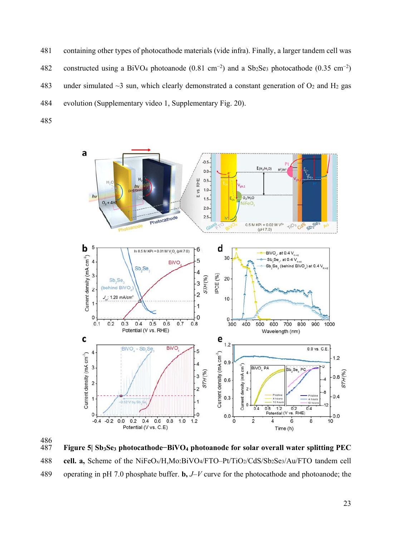- 481 containing other types of photocathode materials (vide infra). Finally, a larger tandem cell was 482 constructed using a BiVO<sub>4</sub> photoanode (0.81 cm<sup>-2</sup>) and a Sb<sub>2</sub>Se<sub>3</sub> photocathode (0.35 cm<sup>-2</sup>) 483 under simulated  $\sim$ 3 sun, which clearly demonstrated a constant generation of O<sub>2</sub> and H<sub>2</sub> gas 484 evolution (Supplementary video 1, Supplementary Fig. 20).
- 485





487 **Figure 5| Sb3Se3 photocathode−BiVO4 photoanode for solar overall water splitting PEC**  488 **cell. a,** Scheme of the NiFeOx/H,Mo:BiVO4/FTO–Pt/TiO2/CdS/Sb2Se3/Au/FTO tandem cell 489 operating in pH 7.0 phosphate buffer. **b,** *J*–*V* curve for the photocathode and photoanode; the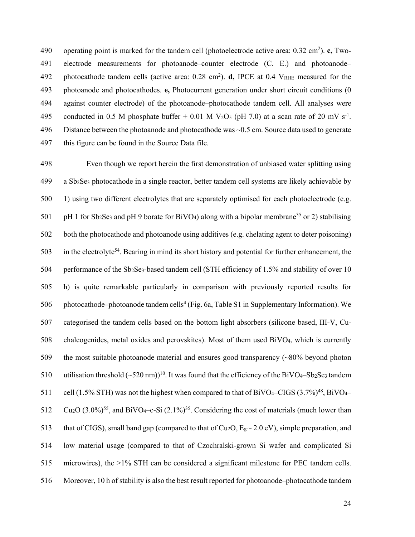490 operating point is marked for the tandem cell (photoelectrode active area: 0.32 cm<sup>2</sup>). **c**, Two-491 electrode measurements for photoanode–counter electrode (C. E.) and photoanode– 492 photocathode tandem cells (active area: 0.28 cm<sup>2</sup>). **d**, IPCE at 0.4 V<sub>RHE</sub> measured for the 493 photoanode and photocathodes. **e,** Photocurrent generation under short circuit conditions (0 494 against counter electrode) of the photoanode–photocathode tandem cell. All analyses were 495 conducted in 0.5 M phosphate buffer + 0.01 M V<sub>2</sub>O<sub>5</sub> (pH 7.0) at a scan rate of 20 mV s<sup>-1</sup>. 496 Distance between the photoanode and photocathode was ~0.5 cm. Source data used to generate 497 this figure can be found in the Source Data file.

498 Even though we report herein the first demonstration of unbiased water splitting using 499 a Sb2Se3 photocathode in a single reactor, better tandem cell systems are likely achievable by 500 1) using two different electrolytes that are separately optimised for each photoelectrode (e.g. 501 pH 1 for Sb<sub>2</sub>Se<sub>3</sub> and pH 9 borate for BiVO<sub>4</sub>) along with a bipolar membrane<sup>35</sup> or 2) stabilising 502 both the photocathode and photoanode using additives (e.g. chelating agent to deter poisoning) 503 in the electrolyte<sup>54</sup>. Bearing in mind its short history and potential for further enhancement, the 504 performance of the Sb<sub>2</sub>Se<sub>3</sub>-based tandem cell (STH efficiency of 1.5% and stability of over 10 505 h) is quite remarkable particularly in comparison with previously reported results for 506 photocathode–photoanode tandem cells<sup>4</sup> (Fig. 6a, Table S1 in Supplementary Information). We 507 categorised the tandem cells based on the bottom light absorbers (silicone based, III-V, Cu-508 chalcogenides, metal oxides and perovskites). Most of them used BiVO4, which is currently 509 the most suitable photoanode material and ensures good transparency (~80% beyond photon 510 utilisation threshold  $({\sim}520 \text{ nm})^{10}$ . It was found that the efficiency of the BiVO<sub>4</sub>–Sb<sub>2</sub>Se<sub>3</sub> tandem 511 cell (1.5% STH) was not the highest when compared to that of BiVO<sub>4</sub>–CIGS  $(3.7\%)^{48}$ , BiVO<sub>4</sub>–  $512 \text{ Cu}_2\text{O} (3.0\%)^{55}$ , and BiVO<sub>4</sub>-c-Si  $(2.1\%)^{35}$ . Considering the cost of materials (much lower than 513 that of CIGS), small band gap (compared to that of Cu<sub>2</sub>O,  $E_g \sim 2.0$  eV), simple preparation, and 514 low material usage (compared to that of Czochralski-grown Si wafer and complicated Si 515 microwires), the >1% STH can be considered a significant milestone for PEC tandem cells. 516 Moreover, 10 h of stability is also the best result reported for photoanode–photocathode tandem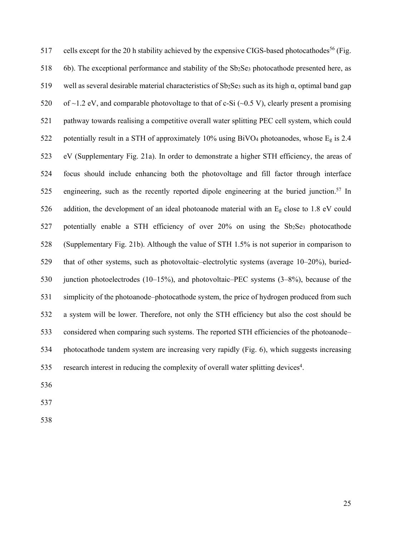517 cells except for the 20 h stability achieved by the expensive CIGS-based photocathodes<sup>56</sup> (Fig. 518 6b). The exceptional performance and stability of the Sb<sub>2</sub>Se<sub>3</sub> photocathode presented here, as 519 well as several desirable material characteristics of  $Sb_2Se_3$  such as its high  $\alpha$ , optimal band gap 520 of  $\sim$ 1.2 eV, and comparable photovoltage to that of c-Si ( $\sim$ 0.5 V), clearly present a promising 521 pathway towards realising a competitive overall water splitting PEC cell system, which could 522 potentially result in a STH of approximately 10% using BiVO<sub>4</sub> photoanodes, whose E<sub>g</sub> is 2.4 523 eV (Supplementary Fig. 21a). In order to demonstrate a higher STH efficiency, the areas of 524 focus should include enhancing both the photovoltage and fill factor through interface 525 engineering, such as the recently reported dipole engineering at the buried junction.<sup>57</sup> In 526 addition, the development of an ideal photoanode material with an Eg close to 1.8 eV could 527 potentially enable a STH efficiency of over 20% on using the Sb<sub>2</sub>Se<sub>3</sub> photocathode 528 (Supplementary Fig. 21b). Although the value of STH 1.5% is not superior in comparison to 529 that of other systems, such as photovoltaic–electrolytic systems (average 10–20%), buried-530 junction photoelectrodes (10–15%), and photovoltaic–PEC systems (3–8%), because of the 531 simplicity of the photoanode–photocathode system, the price of hydrogen produced from such 532 a system will be lower. Therefore, not only the STH efficiency but also the cost should be 533 considered when comparing such systems. The reported STH efficiencies of the photoanode– 534 photocathode tandem system are increasing very rapidly (Fig. 6), which suggests increasing 535 research interest in reducing the complexity of overall water splitting devices<sup>4</sup>.

536

537

538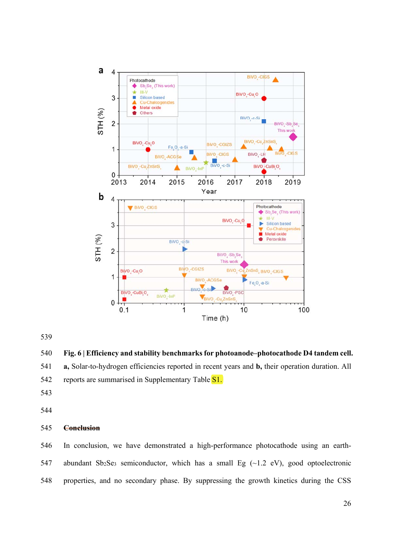

**Fig. 6 | Efficiency and stability benchmarks for photoanode–photocathode D4 tandem cell.** 

**a,** Solar-to-hydrogen efficiencies reported in recent years and **b,** their operation duration. All

542 reports are summarised in Supplementary Table S1.

# **Conclusion**

546 In conclusion, we have demonstrated a high-performance photocathode using an earth-547 abundant Sb<sub>2</sub>Se<sub>3</sub> semiconductor, which has a small Eg  $(\sim 1.2 \text{ eV})$ , good optoelectronic 548 properties, and no secondary phase. By suppressing the growth kinetics during the CSS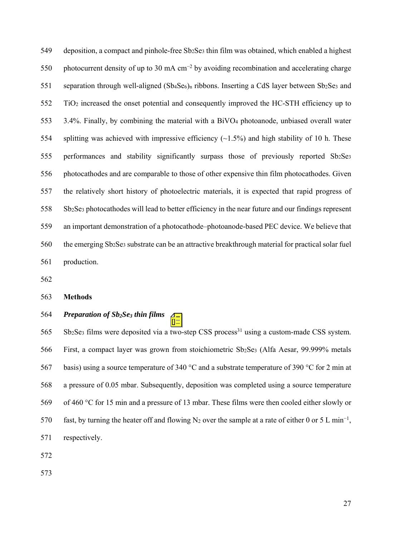549 deposition, a compact and pinhole-free  $Sb_2Se_3$  thin film was obtained, which enabled a highest photocurrent density of up to 30 mA cm<sup>-2</sup> by avoiding recombination and accelerating charge 551 separation through well-aligned ( $Sb_4Se_6$ )<sub>n</sub> ribbons. Inserting a CdS layer between  $Sb_2Se_3$  and 552 TiO2 increased the onset potential and consequently improved the HC-STH efficiency up to 553 3.4%. Finally, by combining the material with a BiVO4 photoanode, unbiased overall water 554 splitting was achieved with impressive efficiency (~1.5%) and high stability of 10 h. These 555 performances and stability significantly surpass those of previously reported Sb2Se3 556 photocathodes and are comparable to those of other expensive thin film photocathodes. Given 557 the relatively short history of photoelectric materials, it is expected that rapid progress of 558 Sb2Se3 photocathodes will lead to better efficiency in the near future and our findings represent 559 an important demonstration of a photocathode–photoanode-based PEC device. We believe that 560 the emerging Sb2Se3 substrate can be an attractive breakthrough material for practical solar fuel 561 production.

562

#### 563 **Methods**

# 564 *Preparation of Sb2Se3 thin films*

 $565$  Sb<sub>2</sub>Se<sub>3</sub> films were deposited via a two-step CSS process<sup>31</sup> using a custom-made CSS system. 566 First, a compact layer was grown from stoichiometric Sb<sub>2</sub>Se<sub>3</sub> (Alfa Aesar, 99.999% metals 567 basis) using a source temperature of 340 °C and a substrate temperature of 390 °C for 2 min at 568 a pressure of 0.05 mbar. Subsequently, deposition was completed using a source temperature 569 of 460 °C for 15 min and a pressure of 13 mbar. These films were then cooled either slowly or fast, by turning the heater off and flowing N<sub>2</sub> over the sample at a rate of either 0 or 5 L min<sup>-1</sup>, 571 respectively.

572

573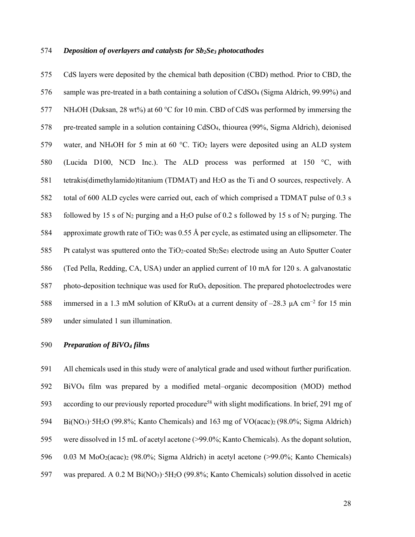#### 574 *Deposition of overlayers and catalysts for Sb2Se3 photocathodes*

575 CdS layers were deposited by the chemical bath deposition (CBD) method. Prior to CBD, the 576 sample was pre-treated in a bath containing a solution of CdSO4 (Sigma Aldrich, 99.99%) and 577 NH4OH (Duksan, 28 wt%) at 60 °C for 10 min. CBD of CdS was performed by immersing the 578 pre-treated sample in a solution containing CdSO4, thiourea (99%, Sigma Aldrich), deionised 579 water, and NH4OH for 5 min at 60 °C. TiO2 layers were deposited using an ALD system 580 (Lucida D100, NCD Inc.). The ALD process was performed at 150 °C, with 581 tetrakis(dimethylamido)titanium (TDMAT) and H2O as the Ti and O sources, respectively. A 582 total of 600 ALD cycles were carried out, each of which comprised a TDMAT pulse of 0.3 s 583 followed by 15 s of N2 purging and a H2O pulse of 0.2 s followed by 15 s of N2 purging. The 584 approximate growth rate of TiO<sub>2</sub> was 0.55 Å per cycle, as estimated using an ellipsometer. The 585 Pt catalyst was sputtered onto the TiO<sub>2</sub>-coated Sb<sub>2</sub>Se<sub>3</sub> electrode using an Auto Sputter Coater 586 (Ted Pella, Redding, CA, USA) under an applied current of 10 mA for 120 s. A galvanostatic 587 photo-deposition technique was used for  $RuO<sub>x</sub>$  deposition. The prepared photoelectrodes were 588 immersed in a 1.3 mM solution of KRuO<sub>4</sub> at a current density of –28.3 μA cm<sup>-2</sup> for 15 min 589 under simulated 1 sun illumination.

## 590 *Preparation of BiVO4 films*

591 All chemicals used in this study were of analytical grade and used without further purification. 592 BiVO4 film was prepared by a modified metal–organic decomposition (MOD) method 593 according to our previously reported procedure<sup>58</sup> with slight modifications. In brief, 291 mg of 594 Bi(NO3)·5H2O (99.8%; Kanto Chemicals) and 163 mg of VO(acac)2 (98.0%; Sigma Aldrich) 595 were dissolved in 15 mL of acetyl acetone (>99.0%; Kanto Chemicals). As the dopant solution, 596 0.03 M MoO2(acac)2 (98.0%; Sigma Aldrich) in acetyl acetone (>99.0%; Kanto Chemicals) 597 was prepared. A 0.2 M Bi(NO3)·5H2O (99.8%; Kanto Chemicals) solution dissolved in acetic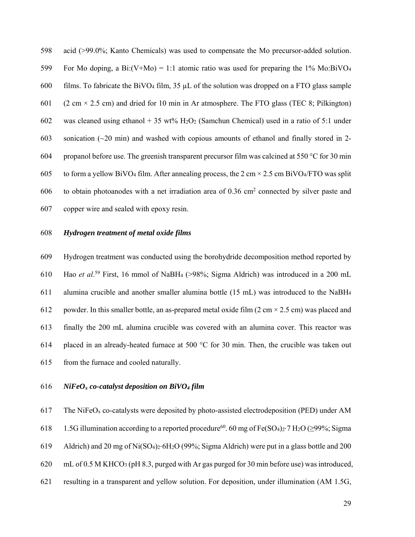598 acid (>99.0%; Kanto Chemicals) was used to compensate the Mo precursor-added solution. 599 For Mo doping, a Bi:(V+Mo) = 1:1 atomic ratio was used for preparing the  $1\%$  Mo:BiVO<sub>4</sub> 600 films. To fabricate the BiVO<sub>4</sub> film,  $35 \mu L$  of the solution was dropped on a FTO glass sample 601 (2 cm  $\times$  2.5 cm) and dried for 10 min in Ar atmosphere. The FTO glass (TEC 8; Pilkington) 602 was cleaned using ethanol + 35 wt%  $H_2O_2$  (Samchun Chemical) used in a ratio of 5:1 under 603 sonication  $(\sim 20 \text{ min})$  and washed with copious amounts of ethanol and finally stored in 2-604 propanol before use. The greenish transparent precursor film was calcined at 550 °C for 30 min 605 to form a yellow BiVO<sub>4</sub> film. After annealing process, the 2 cm  $\times$  2.5 cm BiVO<sub>4</sub>/FTO was split 606 to obtain photoanodes with a net irradiation area of  $0.36 \text{ cm}^2$  connected by silver paste and 607 copper wire and sealed with epoxy resin.

#### 608 *Hydrogen treatment of metal oxide films*

609 Hydrogen treatment was conducted using the borohydride decomposition method reported by 610 Hao *et al.*<sup>59</sup> First, 16 mmol of NaBH<sub>4</sub> (>98%; Sigma Aldrich) was introduced in a 200 mL 611 alumina crucible and another smaller alumina bottle (15 mL) was introduced to the NaBH4 612 powder. In this smaller bottle, an as-prepared metal oxide film  $(2 \text{ cm} \times 2.5 \text{ cm})$  was placed and 613 finally the 200 mL alumina crucible was covered with an alumina cover. This reactor was 614 placed in an already-heated furnace at 500 °C for 30 min. Then, the crucible was taken out 615 from the furnace and cooled naturally.

#### 616 *NiFeOx co-catalyst deposition on BiVO4 film*

617 The NiFeO<sub>x</sub> co-catalysts were deposited by photo-assisted electrodeposition (PED) under AM

618 1.5G illumination according to a reported procedure<sup>60</sup>. 60 mg of Fe(SO<sub>4</sub>)<sub>2</sub>⋅7 H<sub>2</sub>O (≥99%; Sigma

619 Aldrich) and 20 mg of Ni(SO4)2⋅6H2O (99%; Sigma Aldrich) were put in a glass bottle and 200

620 mL of 0.5 M KHCO3 (pH 8.3, purged with Ar gas purged for 30 min before use) was introduced,

621 resulting in a transparent and yellow solution. For deposition, under illumination (AM 1.5G,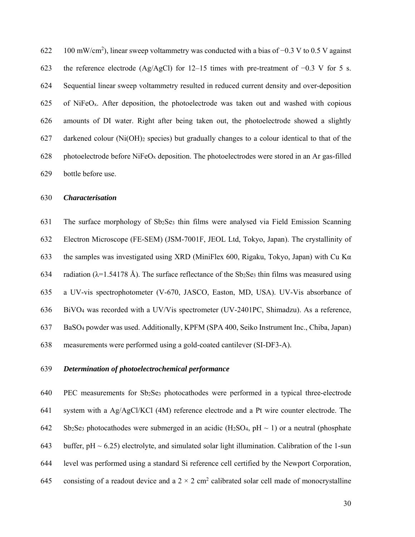$100 \text{ mW/cm}^2$ ), linear sweep voltammetry was conducted with a bias of  $-0.3 \text{ V}$  to 0.5 V against 623 the reference electrode (Ag/AgCl) for 12–15 times with pre-treatment of −0.3 V for 5 s. 624 Sequential linear sweep voltammetry resulted in reduced current density and over-deposition 625 of NiFeO<sub>x</sub>. After deposition, the photoelectrode was taken out and washed with copious 626 amounts of DI water. Right after being taken out, the photoelectrode showed a slightly 627 darkened colour (Ni(OH)2 species) but gradually changes to a colour identical to that of the 628 photoelectrode before  $NiFeO<sub>x</sub>$  deposition. The photoelectrodes were stored in an Ar gas-filled 629 bottle before use.

## 630 *Characterisation*

631 The surface morphology of Sb2Se3 thin films were analysed via Field Emission Scanning 632 Electron Microscope (FE-SEM) (JSM-7001F, JEOL Ltd, Tokyo, Japan). The crystallinity of 633 the samples was investigated using XRD (MiniFlex 600, Rigaku, Tokyo, Japan) with Cu K $\alpha$ 634 radiation ( $\lambda$ =1.54178 Å). The surface reflectance of the Sb<sub>2</sub>Se<sub>3</sub> thin films was measured using 635 a UV-vis spectrophotometer (V-670, JASCO, Easton, MD, USA). UV-Vis absorbance of 636 BiVO4 was recorded with a UV/Vis spectrometer (UV-2401PC, Shimadzu). As a reference, 637 BaSO4 powder was used. Additionally, KPFM (SPA 400, Seiko Instrument Inc., Chiba, Japan) 638 measurements were performed using a gold-coated cantilever (SI-DF3-A).

#### 639 *Determination of photoelectrochemical performance*

640 PEC measurements for Sb2Se3 photocathodes were performed in a typical three-electrode 641 system with a Ag/AgCl/KCl (4M) reference electrode and a Pt wire counter electrode. The 642 Sb2Se3 photocathodes were submerged in an acidic (H2SO4, pH  $\sim$  1) or a neutral (phosphate 643 buffer,  $pH \sim 6.25$ ) electrolyte, and simulated solar light illumination. Calibration of the 1-sun 644 level was performed using a standard Si reference cell certified by the Newport Corporation, 645 consisting of a readout device and a  $2 \times 2$  cm<sup>2</sup> calibrated solar cell made of monocrystalline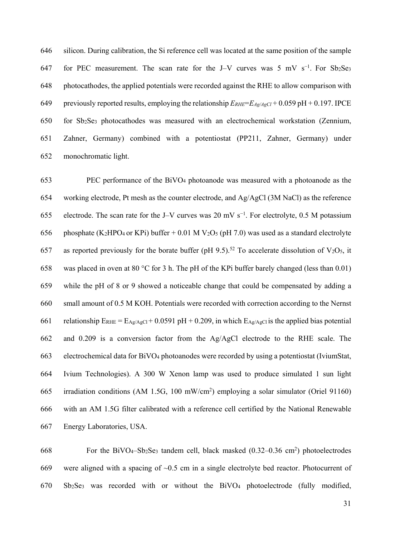646 silicon. During calibration, the Si reference cell was located at the same position of the sample for PEC measurement. The scan rate for the J–V curves was 5 mV s<sup>-1</sup>. For Sb2Se3 648 photocathodes, the applied potentials were recorded against the RHE to allow comparison with 649 previously reported results, employing the relationship *ERHE*=*EAg/AgCl* + 0.059 pH + 0.197. IPCE 650 for Sb2Se3 photocathodes was measured with an electrochemical workstation (Zennium, 651 Zahner, Germany) combined with a potentiostat (PP211, Zahner, Germany) under 652 monochromatic light.

653 PEC performance of the BiVO4 photoanode was measured with a photoanode as the 654 working electrode, Pt mesh as the counter electrode, and Ag/AgCl (3M NaCl) as the reference 655 electrode. The scan rate for the J–V curves was 20 mV s<sup>-1</sup>. For electrolyte, 0.5 M potassium 656 phosphate (K<sub>2</sub>HPO<sub>4</sub> or KPi) buffer  $+$  0.01 M V<sub>2</sub>O<sub>5</sub> (pH 7.0) was used as a standard electrolyte 657 as reported previously for the borate buffer (pH 9.5).<sup>52</sup> To accelerate dissolution of V<sub>2</sub>O<sub>5</sub>, it 658 was placed in oven at 80 °C for 3 h. The pH of the KPi buffer barely changed (less than 0.01) 659 while the pH of 8 or 9 showed a noticeable change that could be compensated by adding a 660 small amount of 0.5 M KOH. Potentials were recorded with correction according to the Nernst 661 relationship  $E_{RHE} = E_{Ag/AgCl} + 0.0591$  pH + 0.209, in which  $E_{Ag/AgCl}$  is the applied bias potential 662 and 0.209 is a conversion factor from the Ag/AgCl electrode to the RHE scale. The 663 electrochemical data for BiVO4 photoanodes were recorded by using a potentiostat (IviumStat, 664 Ivium Technologies). A 300 W Xenon lamp was used to produce simulated 1 sun light 665 irradiation conditions (AM 1.5G, 100 mW/cm<sup>2</sup>) employing a solar simulator (Oriel 91160) 666 with an AM 1.5G filter calibrated with a reference cell certified by the National Renewable 667 Energy Laboratories, USA.

 $668$  For the BiVO<sub>4</sub>-Sb<sub>2</sub>Se<sub>3</sub> tandem cell, black masked  $(0.32-0.36 \text{ cm}^2)$  photoelectrodes 669 were aligned with a spacing of ~0.5 cm in a single electrolyte bed reactor. Photocurrent of 670 Sb2Se3 was recorded with or without the BiVO4 photoelectrode (fully modified,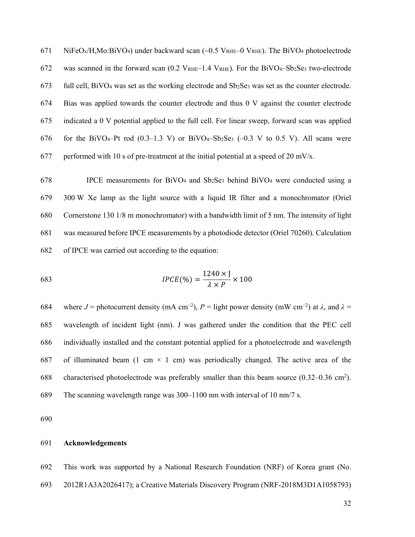671 NiFeO<sub>x</sub>/H,Mo:BiVO<sub>4</sub>) under backward scan (~0.5 V<sub>RHE</sub>-0 V<sub>RHE</sub>). The BiVO<sub>4</sub> photoelectrode 672 was scanned in the forward scan  $(0.2 \text{ V}_{\text{RHE}} - 1.4 \text{ V}_{\text{RHE}})$ . For the BiVO4–Sb<sub>2</sub>Se<sub>3</sub> two-electrode 673 full cell, BiVO<sub>4</sub> was set as the working electrode and  $Sb_2Se_3$  was set as the counter electrode. 674 Bias was applied towards the counter electrode and thus 0 V against the counter electrode 675 indicated a 0 V potential applied to the full cell. For linear sweep, forward scan was applied 676 for the BiVO<sub>4</sub>–Pt rod  $(0.3-1.3 \text{ V})$  or BiVO<sub>4</sub>–Sb<sub>2</sub>Se<sub>3</sub>  $(-0.3 \text{ V}$  to 0.5 V). All scans were 677 performed with 10 s of pre-treatment at the initial potential at a speed of 20 mV/s.

678 IPCE measurements for BiVO4 and Sb2Se3 behind BiVO4 were conducted using a 679 300 W Xe lamp as the light source with a liquid IR filter and a monochromator (Oriel 680 Cornerstone 130 1/8 m monochromator) with a bandwidth limit of 5 nm. The intensity of light 681 was measured before IPCE measurements by a photodiode detector (Oriel 70260). Calculation 682 of IPCE was carried out according to the equation:

$$
IPCE(\%) = \frac{1240 \times J}{\lambda \times P} \times 100
$$

where *J* = photocurrent density (mA cm<sup>-2</sup>), *P* = light power density (mW cm<sup>-2</sup>) at  $\lambda$ , and  $\lambda$  = 685 wavelength of incident light (nm). J was gathered under the condition that the PEC cell 686 individually installed and the constant potential applied for a photoelectrode and wavelength 687 of illuminated beam (1 cm  $\times$  1 cm) was periodically changed. The active area of the 688 characterised photoelectrode was preferably smaller than this beam source  $(0.32-0.36 \text{ cm}^2)$ . 689 The scanning wavelength range was 300–1100 nm with interval of 10 nm/7 s.

690

#### 691 **Acknowledgements**

692 This work was supported by a National Research Foundation (NRF) of Korea grant (No.

693 2012R1A3A2026417); a Creative Materials Discovery Program (NRF-2018M3D1A1058793)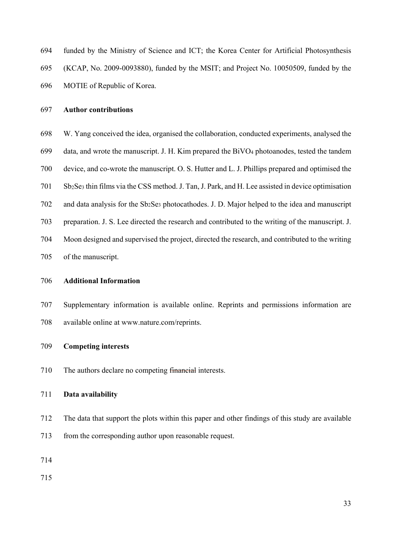| 694 |  | funded by the Ministry of Science and ICT; the Korea Center for Artificial Photosynthesis |  |  |  |
|-----|--|-------------------------------------------------------------------------------------------|--|--|--|
|     |  |                                                                                           |  |  |  |

- 695 (KCAP, No. 2009-0093880), funded by the MSIT; and Project No. 10050509, funded by the
- 696 MOTIE of Republic of Korea.

#### 697 **Author contributions**

- 698 W. Yang conceived the idea, organised the collaboration, conducted experiments, analysed the
- 699 data, and wrote the manuscript. J. H. Kim prepared the BiVO4 photoanodes, tested the tandem
- 700 device, and co-wrote the manuscript. O. S. Hutter and L. J. Phillips prepared and optimised the
- 701 Sb2Se3 thin films via the CSS method. J. Tan, J. Park, and H. Lee assisted in device optimisation
- 702 and data analysis for the Sb2Se3 photocathodes. J. D. Major helped to the idea and manuscript
- 703 preparation. J. S. Lee directed the research and contributed to the writing of the manuscript. J.
- 704 Moon designed and supervised the project, directed the research, and contributed to the writing 705 of the manuscript.

#### 706 **Additional Information**

707 Supplementary information is available online. Reprints and permissions information are 708 available online at www.nature.com/reprints.

#### 709 **Competing interests**

710 The authors declare no competing financial interests.

#### 711 **Data availability**

- 712 The data that support the plots within this paper and other findings of this study are available
- 713 from the corresponding author upon reasonable request.
- 714

715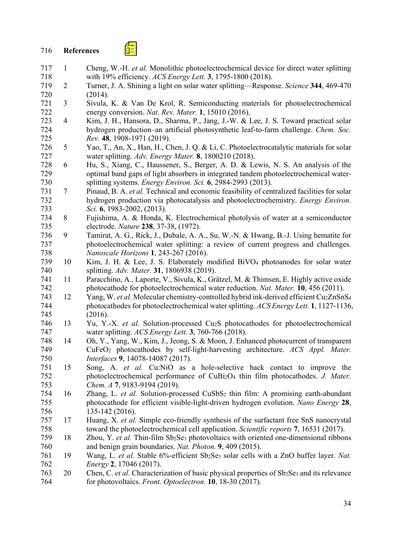# 716 **References**

∕ ⊟

- 717 1 Cheng, W.-H. *et al.* Monolithic photoelectrochemical device for direct water splitting 718 with 19% efficiency. *ACS Energy Lett.* **3**, 1795-1800 (2018).
- 719 2 Turner, J. A. Shining a light on solar water splitting—Response. *Science* **344**, 469-470 720 (2014).
- 721 3 Sivula, K. & Van De Krol, R. Semiconducting materials for photoelectrochemical energy conversion. Nat. Rev. Mater. 1, 15010 (2016). energy conversion. *Nat. Rev. Mater.* **1**, 15010 (2016).
- 723 4 Kim, J. H., Hansora, D., Sharma, P., Jang, J.-W. & Lee, J. S. Toward practical solar 724 hydrogen production–an artificial photosynthetic leaf-to-farm challenge. *Chem. Soc.*  725 *Rev.* **48**, 1908-1971 (2019).
- 726 5 Yao, T., An, X., Han, H., Chen, J. Q. & Li, C. Photoelectrocatalytic materials for solar 727 water splitting. *Adv. Energy Mater.* **8**, 1800210 (2018).
- 728 6 Hu, S., Xiang, C., Haussener, S., Berger, A. D. & Lewis, N. S. An analysis of the 729 optimal band gaps of light absorbers in integrated tandem photoelectrochemical water-730 splitting systems. *Energy Environ. Sci.* **6**, 2984-2993 (2013).
- 731 7 Pinaud, B. A. *et al.* Technical and economic feasibility of centralized facilities for solar 732 hydrogen production via photocatalysis and photoelectrochemistry. *Energy Environ.*  733 *Sci.* **6**, 1983-2002, (2013).
- 734 8 Fujishima, A. & Honda, K. Electrochemical photolysis of water at a semiconductor 735 electrode. *Nature* **238**, 37-38, (1972).
- 736 9 Tamirat, A. G., Rick, J., Dubale, A. A., Su, W.-N. & Hwang, B.-J. Using hematite for 737 photoelectrochemical water splitting: a review of current progress and challenges. 738 *Nanoscale Horizons* **1**, 243-267 (2016).
- 739 10 Kim, J. H. & Lee, J. S. Elaborately modified BiVO4 photoanodes for solar water 740 splitting. *Adv. Mater.* **31**, 1806938 (2019).
- 741 11 Paracchino, A., Laporte, V., Sivula, K., Grätzel, M. & Thimsen, E. Highly active oxide 742 photocathode for photoelectrochemical water reduction. *Nat. Mater.* **10**, 456 (2011).
- 743 12 Yang, W. *et al.* Molecular chemistry-controlled hybrid ink-derived efficient Cu2ZnSnS4 744 photocathodes for photoelectrochemical water splitting. *ACS Energy Lett.* **1**, 1127-1136, 745 (2016).
- 746 13 Yu, Y.-X. *et al.* Solution-processed Cu2S photocathodes for photoelectrochemical 747 water splitting. *ACS Energy Lett.* **3**, 760-766 (2018).
- 748 14 Oh, Y., Yang, W., Kim, J., Jeong, S. & Moon, J. Enhanced photocurrent of transparent 749 CuFeO2 photocathodes by self-light-harvesting architecture. *ACS Appl. Mater.*  750 *Interfaces* **9**, 14078-14087 (2017).
- 751 15 Song, A. *et al.* Cu:NiO as a hole-selective back contact to improve the 752 photoelectrochemical performance of CuBi2O4 thin film photocathodes. *J. Mater.*  753 *Chem. A* **7**, 9183-9194 (2019).
- 754 16 Zhang, L. *et al.* Solution-processed CuSbS2 thin film: A promising earth-abundant 755 photocathode for efficient visible-light-driven hydrogen evolution. *Nano Energy* **28**, 756 135-142 (2016).
- 757 17 Huang, X. *et al.* Simple eco-friendly synthesis of the surfactant free SnS nanocrystal 758 toward the photoelectrochemical cell application. *Scientific reports* **7**, 16531 (2017).
- 759 18 Zhou, Y. *et al.* Thin-film Sb2Se3 photovoltaics with oriented one-dimensional ribbons 760 and benign grain boundaries. *Nat. Photon.* **9**, 409 (2015).
- 761 19 Wang, L. *et al.* Stable 6%-efficient Sb2Se3 solar cells with a ZnO buffer layer. *Nat.*  762 *Energy* **2**, 17046 (2017).
- 763 20 Chen, C. *et al.* Characterization of basic physical properties of Sb2Se3 and its relevance 764 for photovoltaics. *Front. Optoelectron.* **10**, 18-30 (2017).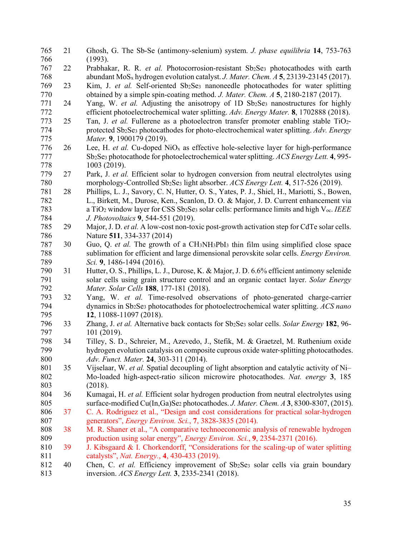| 765 | 21 | Ghosh, G. The Sb-Se (antimony-selenium) system. J. phase equilibria 14, 753-763                                                         |
|-----|----|-----------------------------------------------------------------------------------------------------------------------------------------|
| 766 |    | (1993).                                                                                                                                 |
| 767 | 22 | Prabhakar, R. R. et al. Photocorrosion-resistant Sb2Se3 photocathodes with earth                                                        |
| 768 |    | abundant $MoS_x$ hydrogen evolution catalyst. J. Mater. Chem. $A$ 5, 23139-23145 (2017).                                                |
| 769 | 23 | Kim, J. et al. Self-oriented Sb2Se3 nanoneedle photocathodes for water splitting                                                        |
| 770 |    | obtained by a simple spin-coating method. J. Mater. Chem. A 5, 2180-2187 (2017).                                                        |
| 771 | 24 | Yang, W. et al. Adjusting the anisotropy of 1D Sb2Se3 nanostructures for highly                                                         |
| 772 |    | efficient photoelectrochemical water splitting. Adv. Energy Mater. 8, 1702888 (2018).                                                   |
| 773 | 25 | Tan, J. et al. Fullerene as a photoelectron transfer promoter enabling stable TiO2-                                                     |
| 774 |    | protected Sb <sub>2</sub> Se <sub>3</sub> photocathodes for photo-electrochemical water splitting. Adv. Energy                          |
| 775 |    | Mater. 9, 1900179 (2019).                                                                                                               |
| 776 | 26 | Lee, H. et al. Cu-doped NiO <sub>x</sub> as effective hole-selective layer for high-performance                                         |
| 777 |    | Sb <sub>2</sub> Se <sub>3</sub> photocathode for photoelectrochemical water splitting. ACS Energy Lett. 4, 995-                         |
| 778 |    | 1003 (2019).                                                                                                                            |
| 779 | 27 | Park, J. et al. Efficient solar to hydrogen conversion from neutral electrolytes using                                                  |
| 780 |    | morphology-Controlled Sb2Se3 light absorber. ACS Energy Lett. 4, 517-526 (2019).                                                        |
| 781 | 28 | Phillips, L. J., Savory, C. N, Hutter, O. S., Yates, P. J., Shiel, H., Mariotti, S., Bowen,                                             |
| 782 |    | L., Birkett, M., Durose, Ken., Scanlon, D. O. & Major, J. D. Current enhancement via                                                    |
| 783 |    | a TiO <sub>2</sub> window layer for CSS Sb <sub>2</sub> Se <sub>3</sub> solar cells: performance limits and high V <sub>oc</sub> . IEEE |
| 784 |    | J. Photovoltaics 9, 544-551 (2019).                                                                                                     |
| 785 | 29 | Major, J. D. et al. A low-cost non-toxic post-growth activation step for CdTe solar cells.                                              |
| 786 |    | Nature 511, 334-337 (2014)                                                                                                              |
| 787 | 30 | Guo, Q. et al. The growth of a CH3NH3PbI3 thin film using simplified close space                                                        |
| 788 |    | sublimation for efficient and large dimensional perovskite solar cells. Energy Environ.                                                 |
| 789 |    | Sci. 9, 1486-1494 (2016).                                                                                                               |
| 790 | 31 | Hutter, O. S., Phillips, L. J., Durose, K. & Major, J. D. 6.6% efficient antimony selenide                                              |
| 791 |    | solar cells using grain structure control and an organic contact layer. Solar Energy                                                    |
| 792 |    | Mater. Solar Cells 188, 177-181 (2018).                                                                                                 |
| 793 | 32 | Yang, W. et al. Time-resolved observations of photo-generated charge-carrier                                                            |
| 794 |    | dynamics in Sb <sub>2</sub> Se <sub>3</sub> photocathodes for photoelectrochemical water splitting. ACS nano                            |
| 795 |    | 12, 11088-11097 (2018).                                                                                                                 |
| 796 | 33 | Zhang, J. et al. Alternative back contacts for Sb2Se3 solar cells. Solar Energy 182, 96-                                                |
| 797 |    | 101 (2019).                                                                                                                             |
| 798 | 34 | Tilley, S. D., Schreier, M., Azevedo, J., Stefik, M. & Graetzel, M. Ruthenium oxide                                                     |
| 799 |    | hydrogen evolution catalysis on composite cuprous oxide water-splitting photocathodes.                                                  |
| 800 |    | Adv. Funct. Mater. 24, 303-311 (2014).                                                                                                  |
| 801 | 35 | Vijselaar, W. et al. Spatial decoupling of light absorption and catalytic activity of Ni-                                               |
| 802 |    | Mo-loaded high-aspect-ratio silicon microwire photocathodes. Nat. energy 3, 185                                                         |
| 803 |    | (2018).                                                                                                                                 |
| 804 | 36 | Kumagai, H. et al. Efficient solar hydrogen production from neutral electrolytes using                                                  |
| 805 |    | surface-modified Cu(In,Ga)Se <sub>2</sub> photocathodes. J. Mater. Chem. A 3, 8300-8307, (2015).                                        |
| 806 | 37 | C. A. Rodriguez et al., "Design and cost considerations for practical solar-hydrogen                                                    |
| 807 |    | generators", <i>Energy Environ. Sci.</i> , 7, 3828-3835 (2014).                                                                         |
| 808 | 38 | M. R. Shaner et al., "A comparative technoeconomic analysis of renewable hydrogen                                                       |
| 809 |    | production using solar energy", <i>Energy Environ. Sci.</i> , 9, 2354-2371 (2016).                                                      |
| 810 | 39 | J. Kibsgaard & I. Chorkendorff, "Considerations for the scaling-up of water splitting                                                   |
| 811 |    | catalysts", Nat. Energy., 4, 430-433 (2019).                                                                                            |
| 812 | 40 | Chen, C. et al. Efficiency improvement of Sb2Se3 solar cells via grain boundary                                                         |
| 813 |    | inversion. ACS Energy Lett. 3, 2335-2341 (2018).                                                                                        |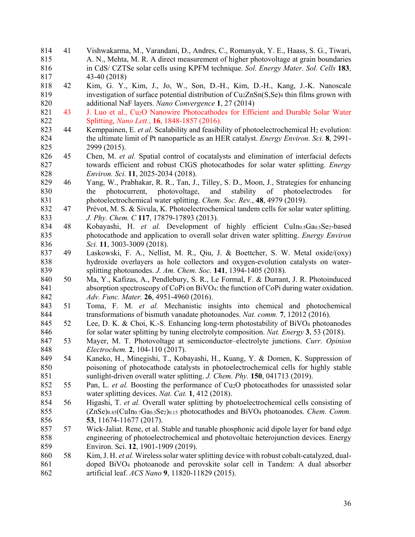814 41 Vishwakarma, M., Varandani, D., Andres, C., Romanyuk, Y. E., Haass, S. G., Tiwari, 815 A. N., Mehta, M. R. A direct measurement of higher photovoltage at grain boundaries 816 in CdS/ CZTSe solar cells using KPFM technique. *Sol. Energy Mater. Sol. Cells* **183**, 817 43-40 (2018) 818 42 Kim, G. Y., Kim, J., Jo, W., Son, D.-H., Kim, D.-H., Kang, J.-K. Nanoscale 819 investigation of surface potential distribution of  $CuzZnSn(S,Se)$ <sup>4</sup> thin films grown with 820 additional NaF layers. *Nano Convergence* **1**, 27 (2014) 821 43 J. Luo et al., Cu<sub>2</sub>O Nanowire Photocathodes for Efficient and Durable Solar Water 822 Splitting, *Nano Lett.*, **16**, 1848-1857 (2016). 823 44 Kemppainen, E. et al. Scalability and feasibility of photoelectrochemical H<sub>2</sub> evolution: 824 the ultimate limit of Pt nanoparticle as an HER catalyst. *Energy Environ. Sci.* **8**, 2991- 825 2999 (2015). 826 45 Chen, M. *et al.* Spatial control of cocatalysts and elimination of interfacial defects 827 towards efficient and robust CIGS photocathodes for solar water splitting. *Energy*  828 *Environ. Sci.* **11**, 2025-2034 (2018). 829 46 Yang, W., Prabhakar, R. R., Tan, J., Tilley, S. D., Moon, J., Strategies for enhancing 830 the photocurrent, photovoltage, and stability of photoelectrodes for 831 photoelectrochemical water splitting. *Chem. Soc. Rev.*, **48**, 4979 (2019). 832 47 Prévot, M. S. & Sivula, K. Photoelectrochemical tandem cells for solar water splitting. 833 *J. Phy. Chem. C* **117**, 17879-17893 (2013). 834 48 Kobayashi, H. et al. Development of highly efficient CuIn<sub>0.5</sub>Ga<sub>0.5</sub>Se<sub>2</sub>-based 835 photocathode and application to overall solar driven water splitting. *Energy Environ*  836 *Sci.* **11**, 3003-3009 (2018). 837 49 Laskowski, F. A., Nellist, M. R., Qiu, J. & Boettcher, S. W. Metal oxide/(oxy) 838 hydroxide overlayers as hole collectors and oxygen-evolution catalysts on water-839 splitting photoanodes. *J. Am. Chem. Soc.* **141**, 1394-1405 (2018). 840 50 Ma, Y., Kafizas, A., Pendlebury, S. R., Le Formal, F. & Durrant, J. R. Photoinduced 841 absorption spectroscopy of CoPi on BiVO4: the function of CoPi during water oxidation. 842 *Adv. Func. Mater.* **26**, 4951-4960 (2016). 843 51 Toma, F. M. *et al.* Mechanistic insights into chemical and photochemical 844 transformations of bismuth vanadate photoanodes. *Nat. comm.* **7**, 12012 (2016). 845 52 Lee, D. K. & Choi, K.-S. Enhancing long-term photostability of BiVO4 photoanodes 846 for solar water splitting by tuning electrolyte composition. *Nat. Energy* **3**, 53 (2018). 847 53 Mayer, M. T. Photovoltage at semiconductor–electrolyte junctions. *Curr. Opinion*  848 *Electrochem.* **2**, 104-110 (2017). 849 54 Kaneko, H., Minegishi, T., Kobayashi, H., Kuang, Y. & Domen, K. Suppression of 850 poisoning of photocathode catalysts in photoelectrochemical cells for highly stable 851 sunlight-driven overall water splitting. *J. Chem. Phy.* **150**, 041713 (2019). 852 55 Pan, L. *et al.* Boosting the performance of Cu2O photocathodes for unassisted solar 853 water splitting devices. *Nat. Cat.* **1**, 412 (2018). 854 56 Higashi, T. *et al.* Overall water splitting by photoelectrochemical cells consisting of 855 (ZnSe)0.85(CuIn0.7Ga0.3Se2)0.15 photocathodes and BiVO4 photoanodes. *Chem. Comm.* 856 **53**, 11674-11677 (2017). 857 57 Wick-Jaliat. Rene, et al. Stable and tunable phosphonic acid dipole layer for band edge 858 engineering of photoelectrochemical and photovoltaic heterojunction devices. Energy 859 Environ. Sci. **12**, 1901-1909 (2019). 860 58 Kim, J. H. *et al.* Wireless solar water splitting device with robust cobalt-catalyzed, dual-861 doped BiVO4 photoanode and perovskite solar cell in Tandem: A dual absorber 862 artificial leaf. *ACS Nano* **9**, 11820-11829 (2015).